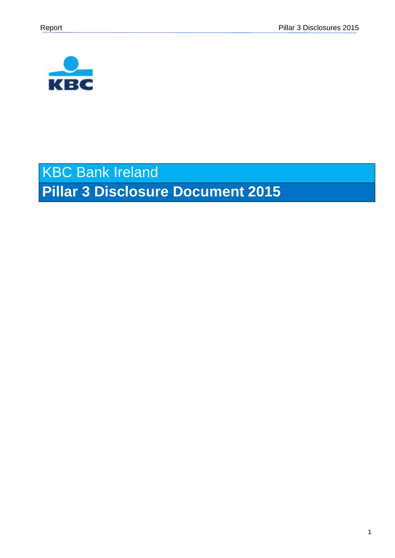

# KBC Bank Ireland **Pillar 3 Disclosure Document 2015**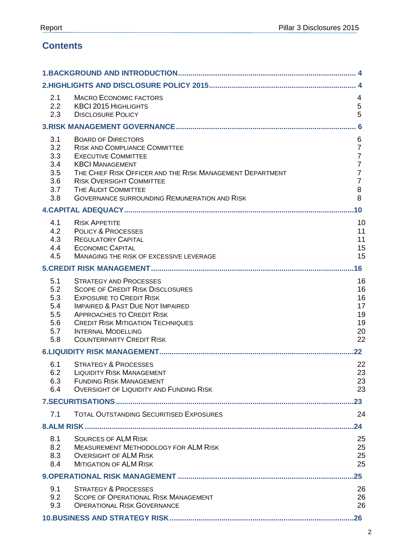# **Contents**

| 2.1<br>2.2<br>2.3                                    | <b>MACRO ECONOMIC FACTORS</b><br><b>KBCI 2015 HIGHLIGHTS</b><br><b>DISCLOSURE POLICY</b>                                                                                                                                                                                                                  | 4<br>$\sqrt{5}$<br>5                                                                                        |
|------------------------------------------------------|-----------------------------------------------------------------------------------------------------------------------------------------------------------------------------------------------------------------------------------------------------------------------------------------------------------|-------------------------------------------------------------------------------------------------------------|
|                                                      |                                                                                                                                                                                                                                                                                                           | . 6                                                                                                         |
| 3.1<br>3.2<br>3.3<br>3.4<br>3.5<br>3.6<br>3.7<br>3.8 | <b>BOARD OF DIRECTORS</b><br><b>RISK AND COMPLIANCE COMMITTEE</b><br><b>EXECUTIVE COMMITTEE</b><br><b>KBCI MANAGEMENT</b><br>THE CHIEF RISK OFFICER AND THE RISK MANAGEMENT DEPARTMENT<br><b>RISK OVERSIGHT COMMITTEE</b><br>THE AUDIT COMMITTEE<br><b>GOVERNANCE SURROUNDING REMUNERATION AND RISK</b>   | 6<br>$\overline{7}$<br>$\overline{7}$<br>$\overline{7}$<br>$\overline{7}$<br>$\overline{7}$<br>$\bf 8$<br>8 |
|                                                      |                                                                                                                                                                                                                                                                                                           | .10                                                                                                         |
| 4.1<br>4.2<br>4.3<br>4.4<br>4.5                      | <b>RISK APPETITE</b><br><b>POLICY &amp; PROCESSES</b><br><b>REGULATORY CAPITAL</b><br><b>ECONOMIC CAPITAL</b><br>MANAGING THE RISK OF EXCESSIVE LEVERAGE                                                                                                                                                  | 10<br>11<br>11<br>15<br>15                                                                                  |
|                                                      |                                                                                                                                                                                                                                                                                                           | .16                                                                                                         |
| 5.1<br>5.2<br>5.3<br>5.4<br>5.5<br>5.6<br>5.7<br>5.8 | <b>STRATEGY AND PROCESSES</b><br><b>SCOPE OF CREDIT RISK DISCLOSURES</b><br><b>EXPOSURE TO CREDIT RISK</b><br><b>IMPAIRED &amp; PAST DUE NOT IMPAIRED</b><br><b>APPROACHES TO CREDIT RISK</b><br><b>CREDIT RISK MITIGATION TECHNIQUES</b><br><b>INTERNAL MODELLING</b><br><b>COUNTERPARTY CREDIT RISK</b> | 16<br>16<br>16<br>17<br>19<br>19<br>20<br>22                                                                |
|                                                      |                                                                                                                                                                                                                                                                                                           | $22 \,$                                                                                                     |
| 6.2<br>6.3<br>6.4                                    | 6.1 STRATEGY & PROCESSES<br><b>LIQUIDITY RISK MANAGEMENT</b><br><b>FUNDING RISK MANAGEMENT</b><br><b>OVERSIGHT OF LIQUIDITY AND FUNDING RISK</b>                                                                                                                                                          | 22<br>23<br>23<br>23                                                                                        |
|                                                      |                                                                                                                                                                                                                                                                                                           | $.23\,$                                                                                                     |
| 7.1                                                  | <b>TOTAL OUTSTANDING SECURITISED EXPOSURES</b>                                                                                                                                                                                                                                                            | 24                                                                                                          |
|                                                      |                                                                                                                                                                                                                                                                                                           | .24                                                                                                         |
| 8.1<br>8.2<br>8.3<br>8.4                             | <b>SOURCES OF ALM RISK</b><br><b>MEASUREMENT METHODOLOGY FOR ALM RISK</b><br><b>OVERSIGHT OF ALM RISK</b><br><b>MITIGATION OF ALM RISK</b>                                                                                                                                                                | 25<br>25<br>25<br>25                                                                                        |
|                                                      |                                                                                                                                                                                                                                                                                                           | .25                                                                                                         |
| 9.1<br>9.2<br>9.3                                    | <b>STRATEGY &amp; PROCESSES</b><br><b>SCOPE OF OPERATIONAL RISK MANAGEMENT</b><br><b>OPERATIONAL RISK GOVERNANCE</b>                                                                                                                                                                                      | 26<br>26<br>26                                                                                              |
|                                                      |                                                                                                                                                                                                                                                                                                           |                                                                                                             |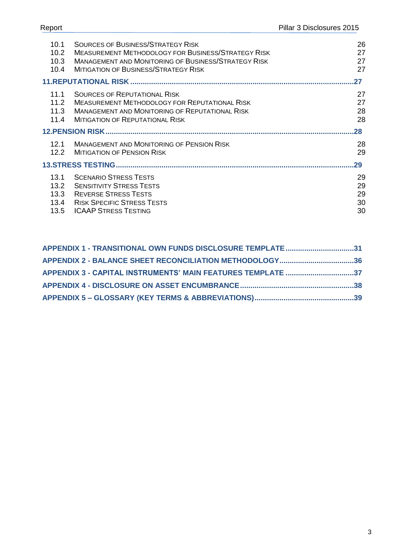|      | 10.1 SOURCES OF BUSINESS/STRATEGY RISK              | 26 |
|------|-----------------------------------------------------|----|
| 10.2 | MEASUREMENT METHODOLOGY FOR BUSINESS/STRATEGY RISK  |    |
| 10.3 | MANAGEMENT AND MONITORING OF BUSINESS/STRATEGY RISK |    |

| 10.2 <sub>1</sub> | <b>MEASUREMENT METHODOLOGY FOR BUSINESS/STRATEGY RISK</b>  | 27  |
|-------------------|------------------------------------------------------------|-----|
| 10.3              | <b>MANAGEMENT AND MONITORING OF BUSINESS/STRATEGY RISK</b> | 27  |
| 10.4              | <b>MITIGATION OF BUSINESS/STRATEGY RISK</b>                | 27  |
|                   |                                                            | 27  |
| 11.1              | <b>SOURCES OF REPUTATIONAL RISK</b>                        | 27  |
| 11.2              | <b>MEASUREMENT METHODOLOGY FOR REPUTATIONAL RISK</b>       | 27  |
| 11.3              | <b>MANAGEMENT AND MONITORING OF REPUTATIONAL RISK</b>      | 28  |
| 11.4              | MITIGATION OF REPUTATIONAL RISK                            | 28  |
|                   |                                                            | .28 |
| 12.1              | <b>MANAGEMENT AND MONITORING OF PENSION RISK</b>           | 28  |
| 12.2              | <b>MITIGATION OF PENSION RISK</b>                          | 29  |
|                   |                                                            | 29  |
| 13.1              | <b>SCENARIO STRESS TESTS</b>                               | 29  |
| 13.2              | <b>SENSITIVITY STRESS TESTS</b>                            | 29  |
| 13.3              | <b>REVERSE STRESS TESTS</b>                                | 29  |
| 13.4              | <b>RISK SPECIFIC STRESS TESTS</b>                          | 30  |
| $13.5^{\circ}$    | <b>ICAAP STRESS TESTING</b>                                | 30  |

| APPENDIX 1 - TRANSITIONAL OWN FUNDS DISCLOSURE TEMPLATE31   |  |
|-------------------------------------------------------------|--|
| APPENDIX 2 - BALANCE SHEET RECONCILIATION METHODOLOGY36     |  |
| APPENDIX 3 - CAPITAL INSTRUMENTS' MAIN FEATURES TEMPLATE 37 |  |
|                                                             |  |
|                                                             |  |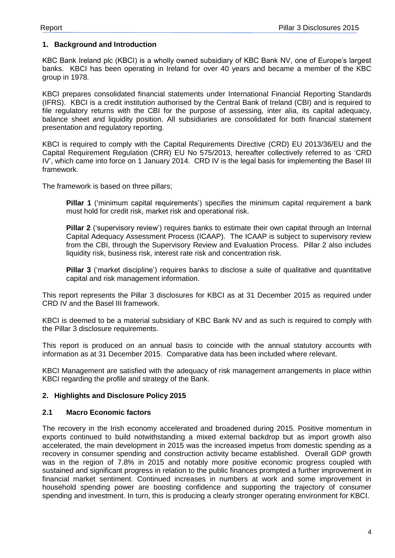#### <span id="page-3-0"></span>**1. Background and Introduction**

KBC Bank Ireland plc (KBCI) is a wholly owned subsidiary of KBC Bank NV, one of Europe's largest banks. KBCI has been operating in Ireland for over 40 years and became a member of the KBC group in 1978.

KBCI prepares consolidated financial statements under International Financial Reporting Standards (IFRS). KBCI is a credit institution authorised by the Central Bank of Ireland (CBI) and is required to file regulatory returns with the CBI for the purpose of assessing, inter alia, its capital adequacy, balance sheet and liquidity position. All subsidiaries are consolidated for both financial statement presentation and regulatory reporting.

KBCI is required to comply with the Capital Requirements Directive (CRD) EU 2013/36/EU and the Capital Requirement Regulation (CRR) EU No 575/2013, hereafter collectively referred to as 'CRD IV', which came into force on 1 January 2014. CRD IV is the legal basis for implementing the Basel III framework.

The framework is based on three pillars;

**Pillar 1** ('minimum capital requirements') specifies the minimum capital requirement a bank must hold for credit risk, market risk and operational risk.

**Pillar 2** ('supervisory review') requires banks to estimate their own capital through an Internal Capital Adequacy Assessment Process (ICAAP). The ICAAP is subject to supervisory review from the CBI, through the Supervisory Review and Evaluation Process. Pillar 2 also includes liquidity risk, business risk, interest rate risk and concentration risk.

**Pillar 3** ('market discipline') requires banks to disclose a suite of qualitative and quantitative capital and risk management information.

This report represents the Pillar 3 disclosures for KBCI as at 31 December 2015 as required under CRD IV and the Basel III framework.

KBCI is deemed to be a material subsidiary of KBC Bank NV and as such is required to comply with the Pillar 3 disclosure requirements.

This report is produced on an annual basis to coincide with the annual statutory accounts with information as at 31 December 2015. Comparative data has been included where relevant.

KBCI Management are satisfied with the adequacy of risk management arrangements in place within KBCI regarding the profile and strategy of the Bank.

#### <span id="page-3-1"></span>**2. Highlights and Disclosure Policy 2015**

#### <span id="page-3-2"></span>**2.1 Macro Economic factors**

The recovery in the Irish economy accelerated and broadened during 2015. Positive momentum in exports continued to build notwithstanding a mixed external backdrop but as import growth also accelerated, the main development in 2015 was the increased impetus from domestic spending as a recovery in consumer spending and construction activity became established. Overall GDP growth was in the region of 7.8% in 2015 and notably more positive economic progress coupled with sustained and significant progress in relation to the public finances prompted a further improvement in financial market sentiment. Continued increases in numbers at work and some improvement in household spending power are boosting confidence and supporting the trajectory of consumer spending and investment. In turn, this is producing a clearly stronger operating environment for KBCI.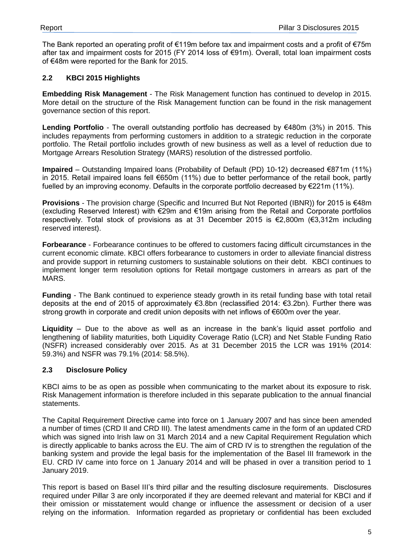The Bank reported an operating profit of €119m before tax and impairment costs and a profit of €75m after tax and impairment costs for 2015 (FY 2014 loss of €91m). Overall, total loan impairment costs of €48m were reported for the Bank for 2015.

#### <span id="page-4-0"></span>**2.2 KBCI 2015 Highlights**

**Embedding Risk Management** - The Risk Management function has continued to develop in 2015. More detail on the structure of the Risk Management function can be found in the risk management governance section of this report.

**Lending Portfolio** - The overall outstanding portfolio has decreased by €480m (3%) in 2015. This includes repayments from performing customers in addition to a strategic reduction in the corporate portfolio. The Retail portfolio includes growth of new business as well as a level of reduction due to Mortgage Arrears Resolution Strategy (MARS) resolution of the distressed portfolio.

**Impaired** – Outstanding Impaired loans (Probability of Default (PD) 10-12) decreased €871m (11%) in 2015. Retail impaired loans fell €650m (11%) due to better performance of the retail book, partly fuelled by an improving economy. Defaults in the corporate portfolio decreased by €221m (11%).

**Provisions** - The provision charge (Specific and Incurred But Not Reported (IBNR)) for 2015 is €48m (excluding Reserved Interest) with €29m and €19m arising from the Retail and Corporate portfolios respectively. Total stock of provisions as at 31 December 2015 is €2,800m (€3,312m including reserved interest).

**Forbearance** - Forbearance continues to be offered to customers facing difficult circumstances in the current economic climate. KBCI offers forbearance to customers in order to alleviate financial distress and provide support in returning customers to sustainable solutions on their debt. KBCI continues to implement longer term resolution options for Retail mortgage customers in arrears as part of the MARS.

**Funding** - The Bank continued to experience steady growth in its retail funding base with total retail deposits at the end of 2015 of approximately €3.8bn (reclassified 2014: €3.2bn). Further there was strong growth in corporate and credit union deposits with net inflows of €600m over the year.

**Liquidity** – Due to the above as well as an increase in the bank's liquid asset portfolio and lengthening of liability maturities, both Liquidity Coverage Ratio (LCR) and Net Stable Funding Ratio (NSFR) increased considerably over 2015. As at 31 December 2015 the LCR was 191% (2014: 59.3%) and NSFR was 79.1% (2014: 58.5%).

#### <span id="page-4-1"></span>**2.3 Disclosure Policy**

KBCI aims to be as open as possible when communicating to the market about its exposure to risk. Risk Management information is therefore included in this separate publication to the annual financial statements.

The Capital Requirement Directive came into force on 1 January 2007 and has since been amended a number of times (CRD II and CRD III). The latest amendments came in the form of an updated CRD which was signed into Irish law on 31 March 2014 and a new Capital Requirement Regulation which is directly applicable to banks across the EU. The aim of CRD IV is to strengthen the regulation of the banking system and provide the legal basis for the implementation of the Basel III framework in the EU. CRD IV came into force on 1 January 2014 and will be phased in over a transition period to 1 January 2019.

This report is based on Basel III's third pillar and the resulting disclosure requirements. Disclosures required under Pillar 3 are only incorporated if they are deemed relevant and material for KBCI and if their omission or misstatement would change or influence the assessment or decision of a user relying on the information. Information regarded as proprietary or confidential has been excluded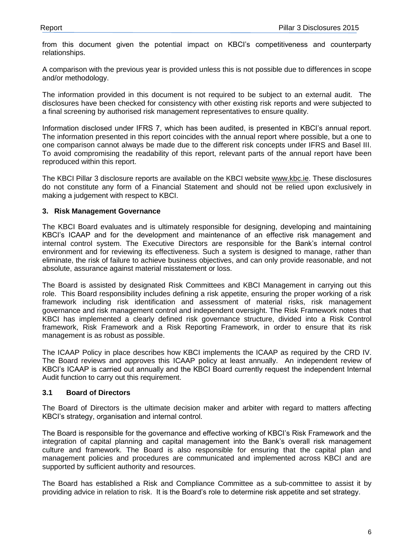from this document given the potential impact on KBCI's competitiveness and counterparty relationships.

A comparison with the previous year is provided unless this is not possible due to differences in scope and/or methodology.

The information provided in this document is not required to be subject to an external audit. The disclosures have been checked for consistency with other existing risk reports and were subjected to a final screening by authorised risk management representatives to ensure quality.

Information disclosed under IFRS 7, which has been audited, is presented in KBCI's annual report. The information presented in this report coincides with the annual report where possible, but a one to one comparison cannot always be made due to the different risk concepts under IFRS and Basel III. To avoid compromising the readability of this report, relevant parts of the annual report have been reproduced within this report.

The KBCI Pillar 3 disclosure reports are available on the KBCI website [www.kbc.ie.](http://www.kbc.ie/) These disclosures do not constitute any form of a Financial Statement and should not be relied upon exclusively in making a judgement with respect to KBCI.

#### <span id="page-5-0"></span>**3. Risk Management Governance**

The KBCI Board evaluates and is ultimately responsible for designing, developing and maintaining KBCI's ICAAP and for the development and maintenance of an effective risk management and internal control system. The Executive Directors are responsible for the Bank's internal control environment and for reviewing its effectiveness. Such a system is designed to manage, rather than eliminate, the risk of failure to achieve business objectives, and can only provide reasonable, and not absolute, assurance against material misstatement or loss.

The Board is assisted by designated Risk Committees and KBCI Management in carrying out this role. This Board responsibility includes defining a risk appetite, ensuring the proper working of a risk framework including risk identification and assessment of material risks, risk management governance and risk management control and independent oversight. The Risk Framework notes that KBCI has implemented a clearly defined risk governance structure, divided into a Risk Control framework, Risk Framework and a Risk Reporting Framework, in order to ensure that its risk management is as robust as possible.

The ICAAP Policy in place describes how KBCI implements the ICAAP as required by the CRD IV. The Board reviews and approves this ICAAP policy at least annually. An independent review of KBCI's ICAAP is carried out annually and the KBCI Board currently request the independent Internal Audit function to carry out this requirement.

#### <span id="page-5-1"></span>**3.1 Board of Directors**

The Board of Directors is the ultimate decision maker and arbiter with regard to matters affecting KBCI's strategy, organisation and internal control.

The Board is responsible for the governance and effective working of KBCI's Risk Framework and the integration of capital planning and capital management into the Bank's overall risk management culture and framework. The Board is also responsible for ensuring that the capital plan and management policies and procedures are communicated and implemented across KBCI and are supported by sufficient authority and resources.

The Board has established a Risk and Compliance Committee as a sub-committee to assist it by providing advice in relation to risk. It is the Board's role to determine risk appetite and set strategy.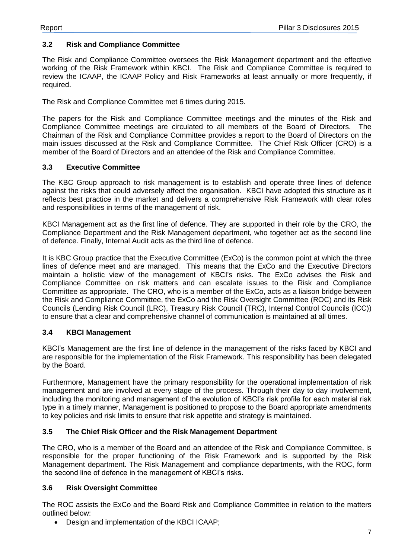#### <span id="page-6-0"></span>**3.2 Risk and Compliance Committee**

The Risk and Compliance Committee oversees the Risk Management department and the effective working of the Risk Framework within KBCI. The Risk and Compliance Committee is required to review the ICAAP, the ICAAP Policy and Risk Frameworks at least annually or more frequently, if required.

The Risk and Compliance Committee met 6 times during 2015.

The papers for the Risk and Compliance Committee meetings and the minutes of the Risk and Compliance Committee meetings are circulated to all members of the Board of Directors. The Chairman of the Risk and Compliance Committee provides a report to the Board of Directors on the main issues discussed at the Risk and Compliance Committee. The Chief Risk Officer (CRO) is a member of the Board of Directors and an attendee of the Risk and Compliance Committee.

#### <span id="page-6-1"></span>**3.3 Executive Committee**

The KBC Group approach to risk management is to establish and operate three lines of defence against the risks that could adversely affect the organisation. KBCI have adopted this structure as it reflects best practice in the market and delivers a comprehensive Risk Framework with clear roles and responsibilities in terms of the management of risk.

KBCI Management act as the first line of defence. They are supported in their role by the CRO, the Compliance Department and the Risk Management department, who together act as the second line of defence. Finally, Internal Audit acts as the third line of defence.

It is KBC Group practice that the Executive Committee (ExCo) is the common point at which the three lines of defence meet and are managed. This means that the ExCo and the Executive Directors maintain a holistic view of the management of KBCI's risks. The ExCo advises the Risk and Compliance Committee on risk matters and can escalate issues to the Risk and Compliance Committee as appropriate. The CRO, who is a member of the ExCo, acts as a liaison bridge between the Risk and Compliance Committee, the ExCo and the Risk Oversight Committee (ROC) and its Risk Councils (Lending Risk Council (LRC), Treasury Risk Council (TRC), Internal Control Councils (ICC)) to ensure that a clear and comprehensive channel of communication is maintained at all times.

#### <span id="page-6-2"></span>**3.4 KBCI Management**

KBCI's Management are the first line of defence in the management of the risks faced by KBCI and are responsible for the implementation of the Risk Framework. This responsibility has been delegated by the Board.

Furthermore, Management have the primary responsibility for the operational implementation of risk management and are involved at every stage of the process. Through their day to day involvement, including the monitoring and management of the evolution of KBCI's risk profile for each material risk type in a timely manner, Management is positioned to propose to the Board appropriate amendments to key policies and risk limits to ensure that risk appetite and strategy is maintained.

#### <span id="page-6-3"></span>**3.5 The Chief Risk Officer and the Risk Management Department**

The CRO, who is a member of the Board and an attendee of the Risk and Compliance Committee, is responsible for the proper functioning of the Risk Framework and is supported by the Risk Management department. The Risk Management and compliance departments, with the ROC, form the second line of defence in the management of KBCI's risks.

#### <span id="page-6-4"></span>**3.6 Risk Oversight Committee**

The ROC assists the ExCo and the Board Risk and Compliance Committee in relation to the matters outlined below:

Design and implementation of the KBCI ICAAP;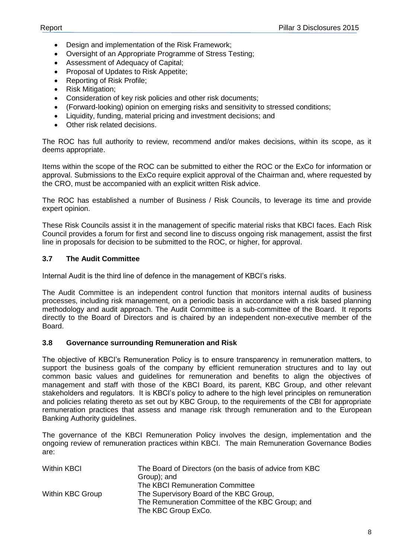- Design and implementation of the Risk Framework;
- Oversight of an Appropriate Programme of Stress Testing;
- Assessment of Adequacy of Capital;
- Proposal of Updates to Risk Appetite;
- Reporting of Risk Profile;
- Risk Mitigation;
- Consideration of key risk policies and other risk documents;
- (Forward-looking) opinion on emerging risks and sensitivity to stressed conditions;
- Liquidity, funding, material pricing and investment decisions; and
- Other risk related decisions.

The ROC has full authority to review, recommend and/or makes decisions, within its scope, as it deems appropriate.

Items within the scope of the ROC can be submitted to either the ROC or the ExCo for information or approval. Submissions to the ExCo require explicit approval of the Chairman and, where requested by the CRO, must be accompanied with an explicit written Risk advice.

The ROC has established a number of Business / Risk Councils, to leverage its time and provide expert opinion.

These Risk Councils assist it in the management of specific material risks that KBCI faces. Each Risk Council provides a forum for first and second line to discuss ongoing risk management, assist the first line in proposals for decision to be submitted to the ROC, or higher, for approval.

#### <span id="page-7-0"></span>**3.7 The Audit Committee**

Internal Audit is the third line of defence in the management of KBCI's risks.

The Audit Committee is an independent control function that monitors internal audits of business processes, including risk management, on a periodic basis in accordance with a risk based planning methodology and audit approach. The Audit Committee is a sub-committee of the Board. It reports directly to the Board of Directors and is chaired by an independent non-executive member of the Board.

#### <span id="page-7-1"></span>**3.8 Governance surrounding Remuneration and Risk**

The objective of KBCI's Remuneration Policy is to ensure transparency in remuneration matters, to support the business goals of the company by efficient remuneration structures and to lay out common basic values and guidelines for remuneration and benefits to align the objectives of management and staff with those of the KBCI Board, its parent, KBC Group, and other relevant stakeholders and regulators. It is KBCI's policy to adhere to the high level principles on remuneration and policies relating thereto as set out by KBC Group, to the requirements of the CBI for appropriate remuneration practices that assess and manage risk through remuneration and to the European Banking Authority guidelines.

The governance of the KBCI Remuneration Policy involves the design, implementation and the ongoing review of remuneration practices within KBCI. The main Remuneration Governance Bodies are:

| <b>Within KBCI</b> | The Board of Directors (on the basis of advice from KBC |
|--------------------|---------------------------------------------------------|
|                    | Group); and                                             |
|                    | The KBCI Remuneration Committee                         |
| Within KBC Group   | The Supervisory Board of the KBC Group,                 |
|                    | The Remuneration Committee of the KBC Group; and        |
|                    | The KBC Group ExCo.                                     |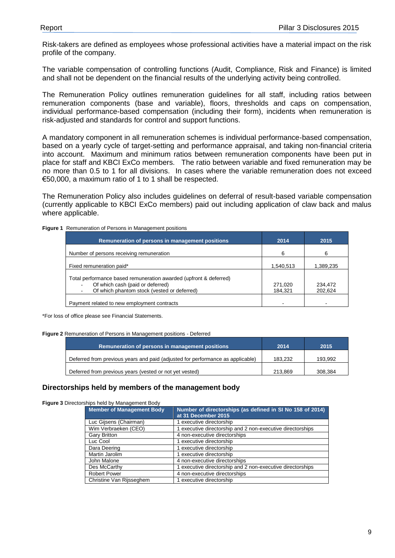Risk-takers are defined as employees whose professional activities have a material impact on the risk profile of the company.

The variable compensation of controlling functions (Audit, Compliance, Risk and Finance) is limited and shall not be dependent on the financial results of the underlying activity being controlled.

The Remuneration Policy outlines remuneration guidelines for all staff, including ratios between remuneration components (base and variable), floors, thresholds and caps on compensation, individual performance-based compensation (including their form), incidents when remuneration is risk-adjusted and standards for control and support functions.

A mandatory component in all remuneration schemes is individual performance-based compensation, based on a yearly cycle of target-setting and performance appraisal, and taking non-financial criteria into account. Maximum and minimum ratios between remuneration components have been put in place for staff and KBCI ExCo members. The ratio between variable and fixed remuneration may be no more than 0.5 to 1 for all divisions. In cases where the variable remuneration does not exceed €50,000, a maximum ratio of 1 to 1 shall be respected.

The Remuneration Policy also includes guidelines on deferral of result-based variable compensation (currently applicable to KBCI ExCo members) paid out including application of claw back and malus where applicable.

| <b>Figure 1</b> Remuneration of Persons in Management positions |  |
|-----------------------------------------------------------------|--|
|                                                                 |  |

| Remuneration of persons in management positions                   | 2014      | 2015      |
|-------------------------------------------------------------------|-----------|-----------|
| Number of persons receiving remuneration                          | 6         | 6         |
| Fixed remuneration paid*                                          | 1,540,513 | 1,389,235 |
| Total performance based remuneration awarded (upfront & deferred) |           |           |
| Of which cash (paid or deferred)                                  | 271,020   | 234.472   |
| Of which phantom stock (vested or deferred)                       | 184,321   | 202,624   |
| Payment related to new employment contracts                       |           |           |

\*For loss of office please see Financial Statements.

#### **Figure 2** Remuneration of Persons in Management positions - Deferred

| Remuneration of persons in management positions                                | 2014    | 2015    |
|--------------------------------------------------------------------------------|---------|---------|
| Deferred from previous years and paid (adjusted for performance as applicable) | 183.232 | 193.992 |
| Deferred from previous years (vested or not yet vested)                        | 213.869 | 308.384 |

#### **Directorships held by members of the management body**

**Figure 3** Directorships held by Management Body

| <b>Member of Management Body</b> | Number of directorships (as defined in SI No 158 of 2014)<br>at 31 December 2015 |
|----------------------------------|----------------------------------------------------------------------------------|
| Luc Gijsens (Chairman)           | 1 executive directorship                                                         |
| Wim Verbraeken (CEO)             | 1 executive directorship and 2 non-executive directorships                       |
| Gary Britton                     | 4 non-executive directorships                                                    |
| Luc Cool                         | 1 executive directorship                                                         |
| Dara Deering                     | 1 executive directorship                                                         |
| Martin Jarolim                   | 1 executive directorship                                                         |
| John Malone                      | 4 non-executive directorships                                                    |
| Des McCarthy                     | 1 executive directorship and 2 non-executive directorships                       |
| <b>Robert Power</b>              | 4 non-executive directorships                                                    |
| Christine Van Rijsseghem         | 1 executive directorship                                                         |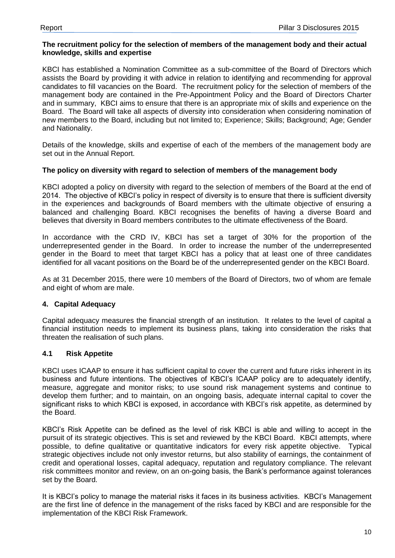#### **The recruitment policy for the selection of members of the management body and their actual knowledge, skills and expertise**

KBCI has established a Nomination Committee as a sub-committee of the Board of Directors which assists the Board by providing it with advice in relation to identifying and recommending for approval candidates to fill vacancies on the Board. The recruitment policy for the selection of members of the management body are contained in the Pre-Appointment Policy and the Board of Directors Charter and in summary, KBCI aims to ensure that there is an appropriate mix of skills and experience on the Board. The Board will take all aspects of diversity into consideration when considering nomination of new members to the Board, including but not limited to; Experience; Skills; Background; Age; Gender and Nationality.

Details of the knowledge, skills and expertise of each of the members of the management body are set out in the Annual Report.

#### **The policy on diversity with regard to selection of members of the management body**

KBCI adopted a policy on diversity with regard to the selection of members of the Board at the end of 2014. The objective of KBCI's policy in respect of diversity is to ensure that there is sufficient diversity in the experiences and backgrounds of Board members with the ultimate objective of ensuring a balanced and challenging Board. KBCI recognises the benefits of having a diverse Board and believes that diversity in Board members contributes to the ultimate effectiveness of the Board.

In accordance with the CRD IV, KBCI has set a target of 30% for the proportion of the underrepresented gender in the Board. In order to increase the number of the underrepresented gender in the Board to meet that target KBCI has a policy that at least one of three candidates identified for all vacant positions on the Board be of the underrepresented gender on the KBCI Board.

As at 31 December 2015, there were 10 members of the Board of Directors, two of whom are female and eight of whom are male.

#### <span id="page-9-0"></span>**4. Capital Adequacy**

Capital adequacy measures the financial strength of an institution. It relates to the level of capital a financial institution needs to implement its business plans, taking into consideration the risks that threaten the realisation of such plans.

#### <span id="page-9-1"></span>**4.1 Risk Appetite**

KBCI uses ICAAP to ensure it has sufficient capital to cover the current and future risks inherent in its business and future intentions. The objectives of KBCI's ICAAP policy are to adequately identify, measure, aggregate and monitor risks; to use sound risk management systems and continue to develop them further; and to maintain, on an ongoing basis, adequate internal capital to cover the significant risks to which KBCI is exposed, in accordance with KBCI's risk appetite, as determined by the Board.

KBCI's Risk Appetite can be defined as the level of risk KBCI is able and willing to accept in the pursuit of its strategic objectives. This is set and reviewed by the KBCI Board. KBCI attempts, where possible, to define qualitative or quantitative indicators for every risk appetite objective. Typical strategic objectives include not only investor returns, but also stability of earnings, the containment of credit and operational losses, capital adequacy, reputation and regulatory compliance. The relevant risk committees monitor and review, on an on-going basis, the Bank's performance against tolerances set by the Board.

It is KBCI's policy to manage the material risks it faces in its business activities. KBCI's Management are the first line of defence in the management of the risks faced by KBCI and are responsible for the implementation of the KBCI Risk Framework.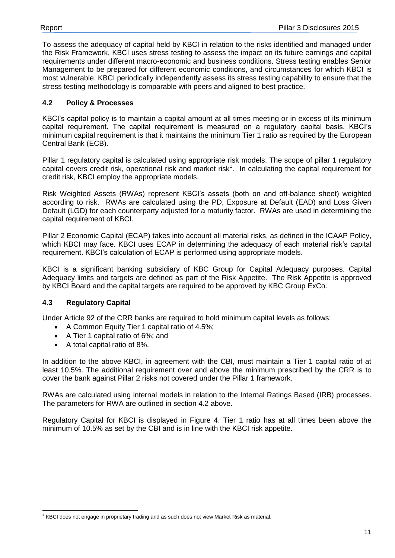To assess the adequacy of capital held by KBCI in relation to the risks identified and managed under the Risk Framework, KBCI uses stress testing to assess the impact on its future earnings and capital requirements under different macro-economic and business conditions. Stress testing enables Senior Management to be prepared for different economic conditions, and circumstances for which KBCI is most vulnerable. KBCI periodically independently assess its stress testing capability to ensure that the stress testing methodology is comparable with peers and aligned to best practice.

### <span id="page-10-0"></span>**4.2 Policy & Processes**

KBCI's capital policy is to maintain a capital amount at all times meeting or in excess of its minimum capital requirement. The capital requirement is measured on a regulatory capital basis. KBCI's minimum capital requirement is that it maintains the minimum Tier 1 ratio as required by the European Central Bank (ECB).

Pillar 1 regulatory capital is calculated using appropriate risk models. The scope of pillar 1 regulatory capital covers credit risk, operational risk and market risk<sup>1</sup>. In calculating the capital requirement for credit risk, KBCI employ the appropriate models.

Risk Weighted Assets (RWAs) represent KBCI's assets (both on and off-balance sheet) weighted according to risk. RWAs are calculated using the PD, Exposure at Default (EAD) and Loss Given Default (LGD) for each counterparty adjusted for a maturity factor. RWAs are used in determining the capital requirement of KBCI.

Pillar 2 Economic Capital (ECAP) takes into account all material risks, as defined in the ICAAP Policy, which KBCI may face. KBCI uses ECAP in determining the adequacy of each material risk's capital requirement. KBCI's calculation of ECAP is performed using appropriate models.

KBCI is a significant banking subsidiary of KBC Group for Capital Adequacy purposes. Capital Adequacy limits and targets are defined as part of the Risk Appetite. The Risk Appetite is approved by KBCI Board and the capital targets are required to be approved by KBC Group ExCo.

#### <span id="page-10-1"></span>**4.3 Regulatory Capital**

 $\overline{a}$ 

Under Article 92 of the CRR banks are required to hold minimum capital levels as follows:

- A Common Equity Tier 1 capital ratio of 4.5%;
- A Tier 1 capital ratio of 6%; and
- A total capital ratio of 8%.

In addition to the above KBCI, in agreement with the CBI, must maintain a Tier 1 capital ratio of at least 10.5%. The additional requirement over and above the minimum prescribed by the CRR is to cover the bank against Pillar 2 risks not covered under the Pillar 1 framework.

RWAs are calculated using internal models in relation to the Internal Ratings Based (IRB) processes. The parameters for RWA are outlined in section 4.2 above.

Regulatory Capital for KBCI is displayed in Figure 4. Tier 1 ratio has at all times been above the minimum of 10.5% as set by the CBI and is in line with the KBCI risk appetite.

 $1$  KBCI does not engage in proprietary trading and as such does not view Market Risk as material.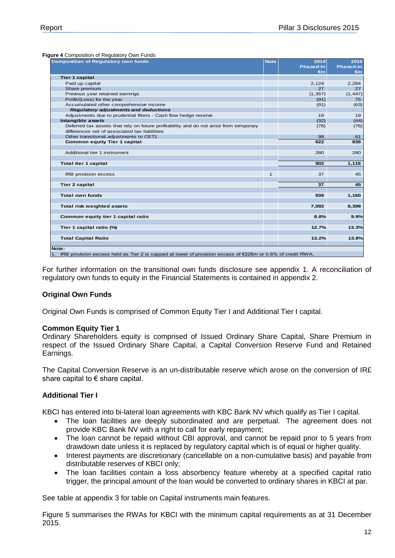**Figure 4** Composition of Regulatory Own Funds

| <b>Composition of Regulatory own funds</b>                                                                                             | <b>Note</b> | 2014      | 2015      |
|----------------------------------------------------------------------------------------------------------------------------------------|-------------|-----------|-----------|
|                                                                                                                                        |             | Phased-In | Phased-In |
|                                                                                                                                        |             | €m        | €m        |
| <b>Tier 1 capital</b>                                                                                                                  |             |           |           |
| Paid up capital                                                                                                                        |             | 2,124     | 2,284     |
| Share premium                                                                                                                          |             | 27        | 27        |
| Previous year retained earnings                                                                                                        |             | (1, 357)  | (1, 447)  |
| Profit/(Loss) for the year                                                                                                             |             | (91)      | 75        |
| Accumulated other comprehensive income                                                                                                 |             | (91)      | (63)      |
| <b>Regulatory adjustments and deductions</b>                                                                                           |             |           |           |
| Adjustments due to prudential filters - Cash flow hedge reserve                                                                        |             | 19        | 19        |
| Intangible assets                                                                                                                      |             | (32)      | (44)      |
| Deferred tax assets that rely on future profitability and do not arise from temporary<br>differences net of associated tax liabilities |             | (76)      | (76)      |
| Other transitional adjustments to CET1                                                                                                 |             | 98        | 61        |
| <b>Common equity Tier 1 capital</b>                                                                                                    |             | 622       | 836       |
|                                                                                                                                        |             |           |           |
| Additional tier 1 instrument                                                                                                           |             | 280       | 280       |
|                                                                                                                                        |             |           |           |
| <b>Total tier 1 capital</b>                                                                                                            |             | 902       | 1,116     |
|                                                                                                                                        |             |           |           |
| <b>IRB provision excess</b>                                                                                                            | $\mathbf 1$ | 37        | 45        |
|                                                                                                                                        |             |           |           |
| <b>Tier 2 capital</b>                                                                                                                  |             | 37        | 45        |
|                                                                                                                                        |             |           |           |
| <b>Total own funds</b>                                                                                                                 |             | 939       | 1,160     |
|                                                                                                                                        |             |           |           |
| Total risk weighted assets                                                                                                             |             | 7,092     | 8,399     |
|                                                                                                                                        |             |           |           |
| Common equity tier 1 capital ratio                                                                                                     |             | 8.8%      | 9.9%      |
|                                                                                                                                        |             |           |           |
| Tier 1 capital ratio (%)                                                                                                               |             | 12.7%     | 13.3%     |
| <b>Total Capital Ratio</b>                                                                                                             |             | 13.2%     | 13.8%     |
|                                                                                                                                        |             |           |           |
| Note:                                                                                                                                  |             |           |           |
| 1. IRB provision excess held as Tier 2 is capped at lower of provision excess of €226m or 0.6% of credit RWA,                          |             |           |           |

For further information on the transitional own funds disclosure see appendix 1. A reconciliation of regulatory own funds to equity in the Financial Statements is contained in appendix 2.

#### **Original Own Funds**

Original Own Funds is comprised of Common Equity Tier I and Additional Tier I capital.

#### **Common Equity Tier 1**

Ordinary Shareholders equity is comprised of Issued Ordinary Share Capital, Share Premium in respect of the Issued Ordinary Share Capital, a Capital Conversion Reserve Fund and Retained Earnings.

The Capital Conversion Reserve is an un-distributable reserve which arose on the conversion of IR£ share capital to € share capital.

#### **Additional Tier I**

KBCI has entered into bi-lateral loan agreements with KBC Bank NV which qualify as Tier I capital.

- The loan facilities are deeply subordinated and are perpetual. The agreement does not provide KBC Bank NV with a right to call for early repayment;
- The loan cannot be repaid without CBI approval, and cannot be repaid prior to 5 years from drawdown date unless it is replaced by regulatory capital which is of equal or higher quality.
- Interest payments are discretionary (cancellable on a non-cumulative basis) and payable from distributable reserves of KBCI only;
- The loan facilities contain a loss absorbency feature whereby at a specified capital ratio trigger, the principal amount of the loan would be converted to ordinary shares in KBCI at par.

See table at appendix 3 for table on Capital instruments main features.

Figure 5 summarises the RWAs for KBCI with the minimum capital requirements as at 31 December 2015.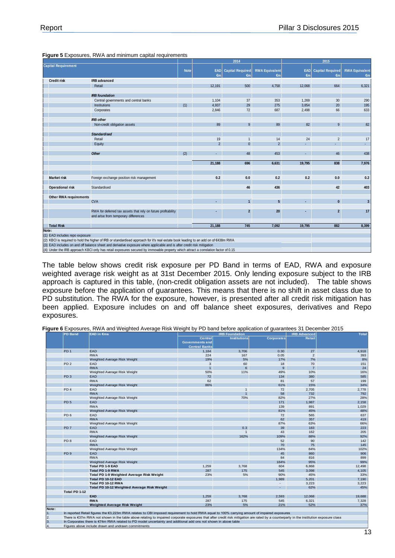|                                |                                                                                                                                     |             |                | 2014                              |                             |                            | 2015                          |                             |
|--------------------------------|-------------------------------------------------------------------------------------------------------------------------------------|-------------|----------------|-----------------------------------|-----------------------------|----------------------------|-------------------------------|-----------------------------|
| <b>Capital Requirement</b>     |                                                                                                                                     | <b>Note</b> | $\epsilon$ m   | <b>EAD</b> Capital Required<br>€m | <b>RWA Equivalent</b><br>€m | <b>EAD</b><br>$\epsilon$ m | <b>Capital Required</b><br>€m | <b>RWA Equivalent</b><br>€m |
| <b>Credit risk</b>             | <b>IRB</b> advanced                                                                                                                 |             |                |                                   |                             |                            |                               |                             |
|                                | Retail                                                                                                                              |             | 12,191         | 500                               | 4,758                       | 12,068                     | 664                           | 6,321                       |
|                                | <b>IRB</b> foundation                                                                                                               |             |                |                                   |                             |                            |                               |                             |
|                                | Central governments and central banks                                                                                               |             | 1,104          | 37                                | 353                         | 1,269                      | 30                            | 290                         |
|                                | <b>Institutions</b>                                                                                                                 | (1)         | 4,937          | 29                                | 275                         | 3,854                      | 20                            | 195                         |
|                                | Corporates                                                                                                                          |             | 2,846          | 72                                | 687                         | 2,498                      | 66                            | 633                         |
|                                | <b>IRB</b> other                                                                                                                    |             |                |                                   |                             |                            |                               |                             |
|                                | Non-credit obligation assets                                                                                                        |             | 89             | 9                                 | 89                          | 82                         | 9                             | 82                          |
|                                | <b>Standardised</b>                                                                                                                 |             |                |                                   |                             |                            |                               |                             |
|                                | Retail                                                                                                                              |             | 19             | $\overline{1}$                    | 14                          | 24                         | $\overline{2}$                | 17                          |
|                                | Equity                                                                                                                              |             | $\overline{2}$ | $\Omega$                          | $\overline{2}$              |                            | ÷                             |                             |
|                                | <b>Other</b>                                                                                                                        | (2)         |                | 48                                | 453                         |                            | 46                            | 438                         |
|                                |                                                                                                                                     |             | 21,188         | 696                               | 6,631                       | 19,795                     | 838                           | 7,976                       |
|                                |                                                                                                                                     |             |                |                                   |                             |                            |                               |                             |
| <b>Market risk</b>             | Foreign exchange position risk management                                                                                           |             | 0.2            | 0.0                               | 0.2                         | 0.2                        | 0.0                           | 0.2                         |
| <b>Operational risk</b>        | Standardised                                                                                                                        |             |                | 46                                | 436                         |                            | 42                            | 403                         |
|                                |                                                                                                                                     |             |                |                                   |                             |                            |                               |                             |
| <b>Other RWA requirements</b>  |                                                                                                                                     |             |                |                                   |                             |                            |                               |                             |
|                                | <b>CVA</b>                                                                                                                          |             | ٠              |                                   | 5                           |                            | $\mathbf{0}$                  | 3                           |
|                                | RWA for deferred tax assets that rely on future profitability<br>and arise from temporary differences                               |             |                | $\overline{2}$                    | 20                          |                            | $\overline{2}$                | 17                          |
| <b>Total Risk</b>              |                                                                                                                                     |             | 21,188         | 745                               | 7,092                       | 19,795                     | 882                           | 8,399                       |
| Note:                          |                                                                                                                                     |             |                |                                   |                             |                            |                               |                             |
| (1) EAD includes repo exposure |                                                                                                                                     |             |                |                                   |                             |                            |                               |                             |
|                                | (2) KBCI is required to hold the higher of IRB or standardised approach for it's real estate book leading to an add on of €438m RWA |             |                |                                   |                             |                            |                               |                             |
|                                | (3) EAD includes on and off balance sheet and derivative exposure where applicable and is after credit risk mitigation              |             |                |                                   |                             |                            |                               |                             |
|                                | (4) Under the IRB approach KBCI only has retail exposures secured by immovable property which attract a correlation factor of 0.15  |             |                |                                   |                             |                            |                               |                             |

#### **Figure 5** Exposures, RWA and minimum capital requirements

The table below shows credit risk exposure per PD Band in terms of EAD, RWA and exposure weighted average risk weight as at 31st December 2015. Only lending exposure subject to the IRB approach is captured in this table, (non-credit obligation assets are not included). The table shows exposure before the application of guarantees. This means that there is no shift in asset class due to PD substitution. The RWA for the exposure, however, is presented after all credit risk mitigation has been applied. Exposure includes on and off balance sheet exposures, derivatives and Repo exposures.

|  |  |  | Figure 6 Exposures, RWA and Weighted Average Risk Weight by PD band before application of guarantees 31 December 2015 |  |
|--|--|--|-----------------------------------------------------------------------------------------------------------------------|--|
|--|--|--|-----------------------------------------------------------------------------------------------------------------------|--|

|       | <b>PD Band</b>  | <b>EAD in €ms</b>                                                                                                                                                                       |                                                                  | <b>IRB Foundation</b> |                          | <b>IRB Advanced</b> | <b>Total</b> |
|-------|-----------------|-----------------------------------------------------------------------------------------------------------------------------------------------------------------------------------------|------------------------------------------------------------------|-----------------------|--------------------------|---------------------|--------------|
|       |                 |                                                                                                                                                                                         | <b>Central</b><br><b>Governments and</b><br><b>Central Banks</b> | <b>Institutions</b>   | <b>Corporates</b>        | <b>Retail</b>       |              |
|       | PD <sub>1</sub> | EAD                                                                                                                                                                                     | 1,184                                                            | 3,706                 | 0.30                     | 27                  | 4,918        |
|       |                 | <b>RWA</b>                                                                                                                                                                              | 224                                                              | 167                   | 0.05                     | $\overline{2}$      | 393          |
|       |                 | Weighted Average Risk Weight                                                                                                                                                            | 19%                                                              | 5%                    | 17%                      | 7%                  | 8%           |
|       | PD <sub>2</sub> | EAD                                                                                                                                                                                     | 3                                                                | 60                    | 18                       | 70                  | 151          |
|       |                 | <b>RWA</b>                                                                                                                                                                              | $\overline{1}$                                                   | 6                     | 9                        | $\overline{7}$      | 24           |
|       |                 | Weighted Average Risk Weight                                                                                                                                                            | 50%                                                              | 11%                   | 49%                      | 10%                 | 16%          |
|       | PD <sub>3</sub> | EAD                                                                                                                                                                                     | 72                                                               |                       | 134                      | 380                 | 585          |
|       |                 | <b>RWA</b>                                                                                                                                                                              | 62                                                               |                       | 81                       | 57                  | 199          |
|       |                 | Weighted Average Risk Weight                                                                                                                                                            | 86%                                                              |                       | 61%                      | 15%                 | 34%          |
|       | PD <sub>4</sub> | EAD                                                                                                                                                                                     |                                                                  | $\mathbf{1}$          | 72                       | 2,705               | 2,778        |
|       |                 | <b>RWA</b>                                                                                                                                                                              |                                                                  | $\overline{1}$        | 58                       | 732                 | 792          |
|       |                 | Weighted Average Risk Weight                                                                                                                                                            |                                                                  | 70%                   | 82%                      | 27%                 | 28%          |
|       | PD <sub>5</sub> | EAD                                                                                                                                                                                     |                                                                  |                       | 171                      | 1,987               | 2,158        |
|       |                 | <b>RWA</b>                                                                                                                                                                              |                                                                  |                       | 139                      | 891                 | 1,029        |
|       |                 | Weighted Average Risk Weight                                                                                                                                                            |                                                                  |                       | 81%                      | 45%                 | 48%          |
|       | PD <sub>6</sub> | EAD                                                                                                                                                                                     |                                                                  |                       | 72                       | 565                 | 637          |
|       |                 | <b>RWA</b>                                                                                                                                                                              |                                                                  |                       | 62                       | 357                 | 419          |
|       |                 | Weighted Average Risk Weight                                                                                                                                                            |                                                                  |                       | 87%                      | 63%                 | 66%          |
|       | PD <sub>7</sub> | EAD                                                                                                                                                                                     |                                                                  | 0.3                   | 39                       | 183                 | 223          |
|       |                 | <b>RWA</b>                                                                                                                                                                              |                                                                  | $\overline{1}$        | 43                       | 162                 | 205          |
|       |                 | Weighted Average Risk Weight                                                                                                                                                            |                                                                  | 162%                  | 109%                     | 88%                 | 92%          |
|       | PD <sub>8</sub> | EAD                                                                                                                                                                                     |                                                                  |                       | 52                       | 90                  | 142          |
|       |                 | <b>RWA</b>                                                                                                                                                                              |                                                                  |                       | 70                       | 75                  | 145          |
|       |                 | Weighted Average Risk Weight                                                                                                                                                            |                                                                  |                       | 134%                     | 84%                 | 102%         |
|       | PD <sub>9</sub> | <b>EAD</b>                                                                                                                                                                              |                                                                  |                       | 45                       | 860                 | 906          |
|       |                 | <b>RWA</b>                                                                                                                                                                              |                                                                  |                       | 84                       | 816                 | 899          |
|       |                 | Weighted Average Risk Weight                                                                                                                                                            |                                                                  |                       | 184%                     | 95%                 | 99%          |
|       |                 | <b>Total PD 1-9 EAD</b>                                                                                                                                                                 | 1,259                                                            | 3,768                 | 604                      | 6,868               | 12,498       |
|       |                 | <b>Total PD 1-9 RWA</b>                                                                                                                                                                 | 287                                                              | 175                   | 545                      | 3,098               | 4,105        |
|       |                 | Total PD 1-9 Weighted Average Risk Weight                                                                                                                                               | 23%                                                              | 5%                    | 90%                      | 45%                 | 33%          |
|       |                 | Total PD 10-12 EAD                                                                                                                                                                      |                                                                  |                       | 1,989                    | 5,201               | 7,190        |
|       |                 | Total PD 10-12 RWA                                                                                                                                                                      |                                                                  |                       | $\overline{\phantom{a}}$ | 3,223               | 3,223        |
|       |                 | Total PD 10-12 Weighted Average Risk Weight                                                                                                                                             |                                                                  |                       | ٠                        | 62%                 | 45%          |
|       | Total PD 1-12   |                                                                                                                                                                                         |                                                                  |                       |                          |                     |              |
|       |                 | <b>EAD</b>                                                                                                                                                                              | 1,259                                                            | 3,768                 | 2,593                    | 12,068              | 19,688       |
|       |                 | <b>RWA</b>                                                                                                                                                                              | 287                                                              | 175                   | 545                      | 6,321               | 7,328        |
|       |                 | <b>Weighted Average Risk Weight</b>                                                                                                                                                     | 23%                                                              | 5%                    | 21%                      | 52%                 | 37%          |
| Note: |                 |                                                                                                                                                                                         |                                                                  |                       |                          |                     |              |
| 1.    |                 | In reported Retail figures the €3,223m RWA relates to CBI imposed requirement to hold RWA equal to 100% carrying amount of impaired exposures                                           |                                                                  |                       |                          |                     |              |
| 2.    |                 | There is €37m RWA not shown in the table above relating to impaired corporate exposures that after credit risk mitigation are rated by a counterparty in the institution exposure class |                                                                  |                       |                          |                     |              |
| 3.    |                 | In Corporates there is €74m RWA related to PD model uncertainty and additional add ons not shown in above table                                                                         |                                                                  |                       |                          |                     |              |
| 4.    |                 | Figures above include drawn and undrawn commitments                                                                                                                                     |                                                                  |                       |                          |                     |              |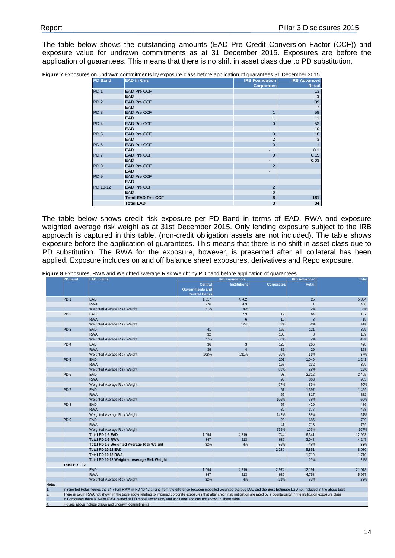The table below shows the outstanding amounts (EAD Pre Credit Conversion Factor (CCF)) and exposure value for undrawn commitments as at 31 December 2015. Exposures are before the application of guarantees. This means that there is no shift in asset class due to PD substitution.

|  |  | Figure 7 Exposures on undrawn commitments by exposure class before application of guarantees 31 December 2015 |  |  |
|--|--|---------------------------------------------------------------------------------------------------------------|--|--|
|  |  |                                                                                                               |  |  |

| <b>PD Band</b>  | <b>EAD in €ms</b>        | <b>IRB Foundation</b>    | <b>IRB Advanced</b> |
|-----------------|--------------------------|--------------------------|---------------------|
|                 |                          | <b>Corporates</b>        | Retail              |
| PD <sub>1</sub> | <b>EAD Pre CCF</b>       |                          | 13                  |
|                 | EAD                      |                          | 3                   |
| PD <sub>2</sub> | <b>EAD Pre CCF</b>       |                          | 39                  |
|                 | <b>EAD</b>               |                          | $\overline{7}$      |
| PD <sub>3</sub> | <b>EAD Pre CCF</b>       |                          | 58                  |
|                 | <b>EAD</b>               |                          | 11                  |
| PD <sub>4</sub> | <b>EAD Pre CCF</b>       | $\Omega$                 | 52                  |
|                 | <b>EAD</b>               |                          | 10                  |
| PD <sub>5</sub> | <b>EAD Pre CCF</b>       | 3                        | 18                  |
|                 | <b>EAD</b>               | 2                        | 3                   |
| PD <sub>6</sub> | <b>EAD Pre CCF</b>       | $\Omega$                 |                     |
|                 | <b>EAD</b>               | $\overline{\phantom{0}}$ | 0.1                 |
| PD <sub>7</sub> | <b>EAD Pre CCF</b>       | $\mathbf 0$              | 0.15                |
|                 | EAD                      | $\overline{\phantom{a}}$ | 0.03                |
| PD <sub>8</sub> | <b>EAD Pre CCF</b>       | $\overline{2}$           |                     |
|                 | <b>EAD</b>               | -                        |                     |
| PD <sub>9</sub> | <b>EAD Pre CCF</b>       |                          |                     |
|                 | <b>EAD</b>               |                          |                     |
| PD 10-12        | <b>EAD Pre CCF</b>       | $\overline{2}$           |                     |
|                 | EAD                      | $\mathbf{0}$             |                     |
|                 | <b>Total EAD Pre CCF</b> | 8                        | 181                 |
|                 | <b>Total EAD</b>         | 3                        | 34                  |

The table below shows credit risk exposure per PD Band in terms of EAD, RWA and exposure weighted average risk weight as at 31st December 2015. Only lending exposure subject to the IRB approach is captured in this table, (non-credit obligation assets are not included). The table shows exposure before the application of guarantees. This means that there is no shift in asset class due to PD substitution. The RWA for the exposure, however, is presented after all collateral has been applied. Exposure includes on and off balance sheet exposures, derivatives and Repo exposure.

**Figure 8** Exposures, RWA and Weighted Average Risk Weight by PD band before application of guarantees

|       | <b>PD Band</b>  | <b>EAD in €ms</b>                                                                                                                                                                       |                                                                  | <b>IRB Foundation</b> |                   | <b>IRB Advanced</b> | <b>Total</b> |
|-------|-----------------|-----------------------------------------------------------------------------------------------------------------------------------------------------------------------------------------|------------------------------------------------------------------|-----------------------|-------------------|---------------------|--------------|
|       |                 |                                                                                                                                                                                         | <b>Central</b><br><b>Governments and</b><br><b>Central Banks</b> | <b>Institutions</b>   | <b>Corporates</b> | <b>Retail</b>       |              |
|       | PD <sub>1</sub> | EAD                                                                                                                                                                                     | 1,017                                                            | 4,762                 |                   | 25                  | 5,804        |
|       |                 | <b>RWA</b>                                                                                                                                                                              | 276                                                              | 203                   |                   | $\overline{1}$      | 480          |
|       |                 | Weighted Average Risk Weight                                                                                                                                                            | 27%                                                              | 4%                    |                   | 2%                  | 8%           |
|       | PD <sub>2</sub> | EAD                                                                                                                                                                                     |                                                                  | 53                    | 19                | 64                  | 137          |
|       |                 | <b>RWA</b>                                                                                                                                                                              |                                                                  | $6\overline{6}$       | 10                | 3                   | 19           |
|       |                 | Weighted Average Risk Weight                                                                                                                                                            |                                                                  | 12%                   | 52%               | 4%                  | 14%          |
|       | PD <sub>3</sub> | EAD                                                                                                                                                                                     | 41                                                               |                       | 166               | 121                 | 329          |
|       |                 | <b>RWA</b>                                                                                                                                                                              | 32                                                               |                       | 100               | 8                   | 139          |
|       |                 | Weighted Average Risk Weight                                                                                                                                                            | 77%                                                              |                       | 60%               | 7%                  | 42%          |
|       | PD <sub>4</sub> | EAD                                                                                                                                                                                     | 36                                                               | 3                     | 123               | 266                 | 428          |
|       |                 | <b>RWA</b>                                                                                                                                                                              | 39                                                               | $\overline{4}$        | 86                | 29                  | 158          |
|       |                 | Weighted Average Risk Weight                                                                                                                                                            | 108%                                                             | 131%                  | 70%               | 11%                 | 37%          |
|       | PD <sub>5</sub> | EAD                                                                                                                                                                                     |                                                                  |                       | 201               | 1,040               | 1,241        |
|       |                 | <b>RWA</b>                                                                                                                                                                              |                                                                  |                       | 167               | 232                 | 399          |
|       |                 | Weighted Average Risk Weight                                                                                                                                                            |                                                                  |                       | 83%               | 22%                 | 32%          |
|       | PD <sub>6</sub> | EAD                                                                                                                                                                                     |                                                                  |                       | 93                | 2,312               | 2,405        |
|       |                 | <b>RWA</b>                                                                                                                                                                              |                                                                  |                       | 90                | 863                 | 953          |
|       |                 | Weighted Average Risk Weight                                                                                                                                                            |                                                                  |                       | 97%               | 37%                 | 40%          |
|       | PD <sub>7</sub> | EAD                                                                                                                                                                                     |                                                                  |                       | 61                | 1,397               | 1,459        |
|       |                 | <b>RWA</b>                                                                                                                                                                              |                                                                  |                       | 65                | 817                 | 882          |
|       |                 | Weighted Average Risk Weight                                                                                                                                                            |                                                                  |                       | 106%              | 58%                 | 60%          |
|       | PD <sub>8</sub> | EAD                                                                                                                                                                                     |                                                                  |                       | 57                | 429                 | 486          |
|       |                 | <b>RWA</b>                                                                                                                                                                              |                                                                  |                       | 80                | 377                 | 458          |
|       |                 | Weighted Average Risk Weight                                                                                                                                                            |                                                                  |                       | 142%              | 88%                 | 94%          |
|       | PD <sub>9</sub> | EAD                                                                                                                                                                                     |                                                                  |                       | 23                | 686                 | 709          |
|       |                 | <b>RWA</b>                                                                                                                                                                              |                                                                  |                       | 41                | 718                 | 759          |
|       |                 | Weighted Average Risk Weight                                                                                                                                                            |                                                                  |                       | 175%              | 105%                | 107%         |
|       |                 | Total PD 1-9 EAD                                                                                                                                                                        | 1.094                                                            | 4.819                 | 744               | 6,341               | 12,998       |
|       |                 | Total PD 1-9 RWA                                                                                                                                                                        | 347                                                              | 213                   | 639               | 3,048               | 4,247        |
|       |                 | Total PD 1-9 Weighted Average Risk Weight                                                                                                                                               | 32%                                                              | 4%                    | 86%               | 48%                 | 33%          |
|       |                 | Total PD 10-12 EAD                                                                                                                                                                      |                                                                  |                       | 2,230             | 5,851               | 8,080        |
|       |                 | Total PD 10-12 RWA                                                                                                                                                                      |                                                                  |                       | ٠                 | 1,710               | 1,710        |
|       |                 | Total PD 10-12 Weighted Average Risk Weight                                                                                                                                             |                                                                  |                       | ÷.                | 29%                 | 21%          |
|       | Total PD 1-12   |                                                                                                                                                                                         |                                                                  |                       |                   |                     |              |
|       |                 | <b>EAD</b>                                                                                                                                                                              | 1,094                                                            | 4,819                 | 2,974             | 12,191              | 21,078       |
|       |                 | <b>RWA</b>                                                                                                                                                                              | 347                                                              | 213                   | 639               | 4,758               | 5,957        |
|       |                 | Weighted Average Risk Weight                                                                                                                                                            | 32%                                                              | 4%                    | 21%               | 39%                 | 28%          |
| Note: |                 |                                                                                                                                                                                         |                                                                  |                       |                   |                     |              |
| 1.    |                 | In reported Retail figures the €1,710m RWA in PD 10-12 arising from the difference between modelled weighted average LGD and the Best Estimate LGD not included in the above table      |                                                                  |                       |                   |                     |              |
| 2.    |                 | There is €76m RWA not shown in the table above relating to impaired corporate exposures that after credit risk mitigation are rated by a counterparty in the institution exposure class |                                                                  |                       |                   |                     |              |
| 3.    |                 | In Corporates there is €40m RWA related to PD model uncertainty and additional add ons not shown in above table                                                                         |                                                                  |                       |                   |                     |              |
| 4.    |                 | Figures above include drawn and undrawn commitments                                                                                                                                     |                                                                  |                       |                   |                     |              |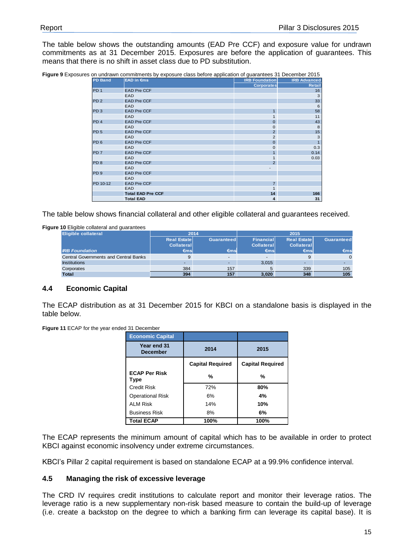The table below shows the outstanding amounts (EAD Pre CCF) and exposure value for undrawn commitments as at 31 December 2015. Exposures are before the application of guarantees. This means that there is no shift in asset class due to PD substitution.

| Figure 9 Exposures on undrawn commitments by exposure class before application of guarantees 31 December 2015 |  |  |  |  |  |  |
|---------------------------------------------------------------------------------------------------------------|--|--|--|--|--|--|
|                                                                                                               |  |  |  |  |  |  |

|                 | . .                      |                       |                     |
|-----------------|--------------------------|-----------------------|---------------------|
| <b>PD Band</b>  | <b>EAD in €ms</b>        | <b>IRB Foundation</b> | <b>IRB Advanced</b> |
|                 |                          | <b>Corporates</b>     | Retail              |
| PD <sub>1</sub> | <b>EAD Pre CCF</b>       |                       | 16                  |
|                 | <b>EAD</b>               |                       | 3                   |
| PD <sub>2</sub> | <b>EAD Pre CCF</b>       |                       | 33                  |
|                 | <b>EAD</b>               |                       | 6                   |
| PD <sub>3</sub> | <b>EAD Pre CCF</b>       | $\mathbf{1}$          | 58                  |
|                 | <b>EAD</b>               |                       | 11                  |
| PD <sub>4</sub> | <b>EAD Pre CCF</b>       | $\Omega$              | 43                  |
|                 | <b>EAD</b>               | 0                     | 8                   |
| PD <sub>5</sub> | <b>EAD Pre CCF</b>       | $\overline{2}$        | 15                  |
|                 | <b>EAD</b>               | 2                     | 3                   |
| PD <sub>6</sub> | <b>EAD Pre CCF</b>       | $\Omega$              |                     |
|                 | <b>EAD</b>               | 0                     | 0.3                 |
| PD <sub>7</sub> | <b>EAD Pre CCF</b>       |                       | 0.14                |
|                 | <b>EAD</b>               | 1                     | 0.03                |
| PD <sub>8</sub> | <b>EAD Pre CCF</b>       | $\overline{2}$        |                     |
|                 | <b>EAD</b>               |                       |                     |
| PD <sub>9</sub> | <b>EAD Pre CCF</b>       |                       |                     |
|                 | <b>EAD</b>               |                       |                     |
| PD 10-12        | <b>EAD Pre CCF</b>       | $\overline{7}$        |                     |
|                 | <b>EAD</b>               | 1                     |                     |
|                 | <b>Total EAD Pre CCF</b> | 14                    | 166                 |
|                 | <b>Total EAD</b>         | 4                     | 31                  |

The table below shows financial collateral and other eligible collateral and guarantees received.

**Figure 10** Eligible collateral and guarantees

| <b>Eligible collateral</b>                   | 2014               |               | 2015              |                     |               |  |
|----------------------------------------------|--------------------|---------------|-------------------|---------------------|---------------|--|
|                                              | <b>Real Estate</b> | Guaranteed    | Financial         | <b>Real Estatel</b> | Guaranteed    |  |
|                                              | <b>Collateral</b>  |               | <b>Collateral</b> | <b>Collateral</b>   |               |  |
| <b>IRB Foundation</b>                        | €ms                | $\epsilon$ ms | $\epsilon$ msl    | $\epsilon$ msl      | $\epsilon$ ms |  |
| <b>Central Governments and Central Banks</b> |                    | $\sim$        |                   |                     | $\Omega$      |  |
| <b>Institutions</b>                          |                    |               | 3.015             |                     |               |  |
| Corporates                                   | 384                | 157           |                   | 339                 | 105           |  |
| <b>Total</b>                                 | 394                | 157           | 3.020             | 348                 | 105           |  |

#### <span id="page-14-0"></span>**4.4 Economic Capital**

The ECAP distribution as at 31 December 2015 for KBCI on a standalone basis is displayed in the table below.

**Figure 11** ECAP for the year ended 31 December

| <b>Economic Capital</b>             |                         |                         |
|-------------------------------------|-------------------------|-------------------------|
| Year end 31<br><b>December</b>      | 2014                    | 2015                    |
|                                     | <b>Capital Required</b> | <b>Capital Required</b> |
| <b>ECAP Per Risk</b><br><b>Type</b> | %                       | %                       |
| Credit Risk                         | 72%                     | 80%                     |
| <b>Operational Risk</b>             | 6%                      | 4%                      |
| <b>ALM Risk</b>                     | 14%                     | 10%                     |
| <b>Business Risk</b>                | 8%                      | 6%                      |
| <b>Total ECAP</b>                   | 100%                    | 100%                    |

The ECAP represents the minimum amount of capital which has to be available in order to protect KBCI against economic insolvency under extreme circumstances.

KBCI's Pillar 2 capital requirement is based on standalone ECAP at a 99.9% confidence interval.

#### <span id="page-14-1"></span>**4.5 Managing the risk of excessive leverage**

The CRD IV requires credit institutions to calculate report and monitor their leverage ratios. The leverage ratio is a new supplementary non-risk based measure to contain the build-up of leverage (i.e. create a backstop on the degree to which a banking firm can leverage its capital base). It is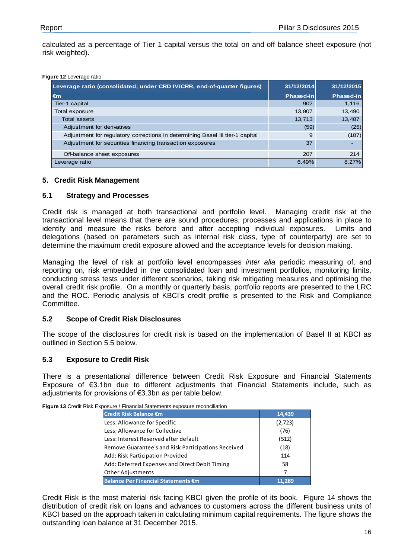calculated as a percentage of Tier 1 capital versus the total on and off balance sheet exposure (not risk weighted).

#### **Figure 12** Leverage ratio

| Leverage ratio (consolidated; under CRD IV/CRR, end-of-quarter figures)       | 31/12/2014       | 31/12/2015       |
|-------------------------------------------------------------------------------|------------------|------------------|
| $\epsilon$ m                                                                  | <b>Phased-in</b> | <b>Phased-in</b> |
| Tier-1 capital                                                                | 902              | 1,116            |
| Total exposure                                                                | 13,907           | 13,490           |
| <b>Total assets</b>                                                           | 13,713           | 13,487           |
| Adjustment for derivatives                                                    | (59)             | (25)             |
| Adjustment for regulatory corrections in determining Basel III tier-1 capital | 9                | (187)            |
| Adjustment for securities financing transaction exposures                     | 37               | ٠                |
| Off-balance sheet exposures                                                   | 207              | 214              |
| Leverage ratio                                                                | 6.49%            | 8.27%            |

#### <span id="page-15-0"></span>**5. Credit Risk Management**

#### <span id="page-15-1"></span>**5.1 Strategy and Processes**

Credit risk is managed at both transactional and portfolio level. Managing credit risk at the transactional level means that there are sound procedures, processes and applications in place to identify and measure the risks before and after accepting individual exposures. Limits and delegations (based on parameters such as internal risk class, type of counterparty) are set to determine the maximum credit exposure allowed and the acceptance levels for decision making.

Managing the level of risk at portfolio level encompasses *inter alia* periodic measuring of, and reporting on, risk embedded in the consolidated loan and investment portfolios, monitoring limits, conducting stress tests under different scenarios, taking risk mitigating measures and optimising the overall credit risk profile. On a monthly or quarterly basis, portfolio reports are presented to the LRC and the ROC. Periodic analysis of KBCI's credit profile is presented to the Risk and Compliance Committee.

#### <span id="page-15-2"></span>**5.2 Scope of Credit Risk Disclosures**

The scope of the disclosures for credit risk is based on the implementation of Basel II at KBCI as outlined in Section 5.5 below.

#### <span id="page-15-3"></span>**5.3 Exposure to Credit Risk**

There is a presentational difference between Credit Risk Exposure and Financial Statements Exposure of €3.1bn due to different adjustments that Financial Statements include, such as adjustments for provisions of €3.3bn as per table below.

**Figure 13** Credit Risk Exposure / Financial Statements exposure reconciliation

| Credit Risk Balance €m                              | 14,439   |
|-----------------------------------------------------|----------|
| Less: Allowance for Specific                        | (2, 723) |
| Less: Allowance for Collective                      | (76)     |
| Less: Interest Reserved after default               | (512)    |
| Remove Guarantee's and Risk Participations Received | (18)     |
| Add: Risk Participation Provided                    | 114      |
| Add: Deferred Expenses and Direct Debit Timing      | 58       |
| Other Adjustments                                   | 7        |
| <b>Balance Per Financial Statements €m</b>          |          |

Credit Risk is the most material risk facing KBCI given the profile of its book. Figure 14 shows the distribution of credit risk on loans and advances to customers across the different business units of KBCI based on the approach taken in calculating minimum capital requirements. The figure shows the outstanding loan balance at 31 December 2015.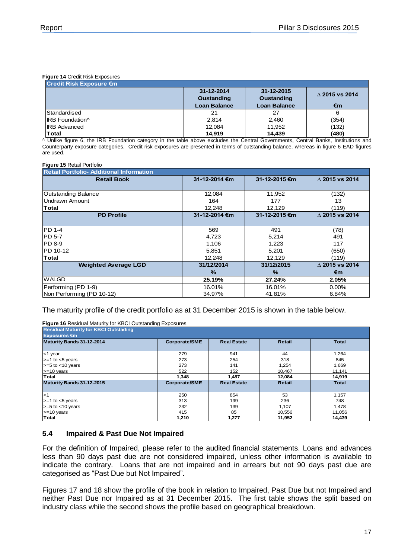#### **Figure 14** Credit Risk Exposures

| Credit Risk Exposure €m |                                 |                                 |                      |  |  |  |  |
|-------------------------|---------------------------------|---------------------------------|----------------------|--|--|--|--|
|                         | 31-12-2014<br><b>Oustanding</b> | 31-12-2015<br><b>Oustanding</b> | $\land$ 2015 vs 2014 |  |  |  |  |
|                         | <b>Loan Balance</b>             | <b>Loan Balance</b>             | €m                   |  |  |  |  |
| Standardised            | 21                              | 27                              | 6                    |  |  |  |  |
| IRB Foundation^         | 2,814                           | 2,460                           | (354)                |  |  |  |  |
| <b>IRB Advanced</b>     | 12,084                          | 11.952                          | (132)                |  |  |  |  |
| Total                   | 14.919                          | 14.439                          | (480)                |  |  |  |  |

^ Unlike figure 6, the IRB Foundation category in the table above excludes the Central Governments, Central Banks, Institutions and Counterparty exposure categories. Credit risk exposures are presented in terms of outstanding balance, whereas in figure 6 EAD figures are used.

#### **Figure 15** Retail Portfolio

| <b>Retail Portfolio- Additional Information</b> |               |               |                          |  |  |  |  |
|-------------------------------------------------|---------------|---------------|--------------------------|--|--|--|--|
| <b>Retail Book</b>                              | 31-12-2014 €m | 31-12-2015 €m | $\Delta$ 2015 vs 2014    |  |  |  |  |
|                                                 |               |               |                          |  |  |  |  |
| Outstanding Balance                             | 12,084        | 11,952        | (132)                    |  |  |  |  |
| Undrawn Amount                                  | 164           | 177           | 13                       |  |  |  |  |
| Total                                           | 12,248        | 12,129        | (119)                    |  |  |  |  |
| <b>PD Profile</b>                               | 31-12-2014 €m | 31-12-2015 €m | $\triangle$ 2015 vs 2014 |  |  |  |  |
|                                                 |               |               |                          |  |  |  |  |
| <b>PD 1-4</b>                                   | 569           | 491           | (78)                     |  |  |  |  |
| IPD 5-7                                         | 4,723         | 5,214         | 491                      |  |  |  |  |
| <b>IPD 8-9</b>                                  | 1,106         | 1,223         | 117                      |  |  |  |  |
| PD 10-12                                        | 5,851         | 5,201         | (650)                    |  |  |  |  |
| Total                                           | 12,248        | 12,129        | (119)                    |  |  |  |  |
| <b>Weighted Average LGD</b>                     | 31/12/2014    | 31/12/2015    | $\triangle$ 2015 vs 2014 |  |  |  |  |
|                                                 | $\%$          | $\frac{9}{6}$ | €m                       |  |  |  |  |
| <b>WALGD</b>                                    | 25.19%        | 27.24%        | 2.05%                    |  |  |  |  |
| Performing (PD 1-9)                             | 16.01%        | 16.01%        | $0.00\%$                 |  |  |  |  |
| Non Performing (PD 10-12)                       | 34.97%        | 41.81%        | 6.84%                    |  |  |  |  |

#### The maturity profile of the credit portfolio as at 31 December 2015 is shown in the table below.

**Figure 16** Residual Maturity for KBCI Outstanding Exposures

| <b>Residual Maturity for KBCI Outstading</b><br><b>Exposures €m</b> |               |                    |        |              |
|---------------------------------------------------------------------|---------------|--------------------|--------|--------------|
| Maturity Bands 31-12-2014                                           | Corporate/SME | <b>Real Estate</b> | Retail | <b>Total</b> |
| <1 year                                                             | 279           | 941                | 44     | 1,264        |
| $>=1$ to $<5$ years                                                 | 273           | 254                | 318    | 845          |
| $>= 5$ to $< 10$ years                                              | 273           | 141                | 1,254  | 1,669        |
| $>= 10$ years                                                       | 522           | 152                | 10.467 | 11,141       |
| Total                                                               | 1,348         | 1,487              | 12,084 | 14,919       |
| Maturity Bands 31-12-2015                                           | Corporate/SME | <b>Real Estate</b> | Retail | <b>Total</b> |
| $\leq$ 1                                                            | 250           | 854                | 53     | 1,157        |
| $>=1$ to $<5$ years                                                 | 313           | 199                | 236    | 748          |
| $>= 5$ to $< 10$ years                                              | 232           | 139                | 1,107  | 1,478        |
| $>= 10$ years                                                       | 415           | 85                 | 10,556 | 11,056       |
| <b>Total</b>                                                        | 1,210         | 1.277              | 11.952 | 14.439       |

#### <span id="page-16-0"></span>**5.4 Impaired & Past Due Not Impaired**

For the definition of Impaired, please refer to the audited financial statements. Loans and advances less than 90 days past due are not considered impaired, unless other information is available to indicate the contrary. Loans that are not impaired and in arrears but not 90 days past due are categorised as "Past Due but Not Impaired".

Figures 17 and 18 show the profile of the book in relation to Impaired, Past Due but not Impaired and neither Past Due nor Impaired as at 31 December 2015. The first table shows the split based on industry class while the second shows the profile based on geographical breakdown.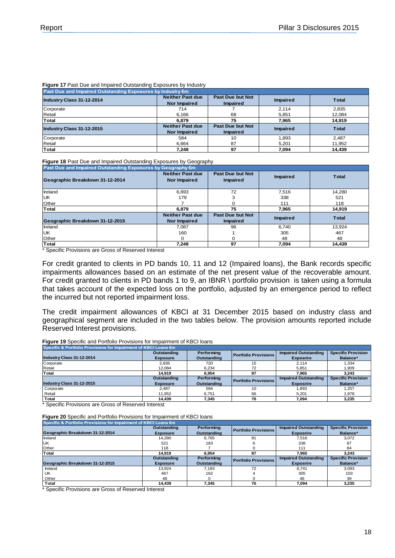#### **Figure 17** Past Due and Impaired Outstanding Exposures by Industry

| Past Due and Impaired Outstanding Exposures by Industry €m |                                                |                                     |                 |              |  |  |
|------------------------------------------------------------|------------------------------------------------|-------------------------------------|-----------------|--------------|--|--|
| Industry Class 31-12-2014                                  | <b>Neither Past due</b><br><b>Nor Impaired</b> | Past Due but Not<br><b>Impaired</b> | Impaired        | <b>Total</b> |  |  |
| Corporate                                                  | 714                                            |                                     | 2.114           | 2.835        |  |  |
| Retail                                                     | 6.166                                          | 68                                  | 5.851           | 12.084       |  |  |
| Total                                                      | 6.879                                          | 75                                  | 7,965           | 14,919       |  |  |
| Industry Class 31-12-2015                                  | <b>Neither Past due</b><br><b>Nor Impaired</b> | Past Due but Not<br><b>Impaired</b> | <b>Impaired</b> | <b>Total</b> |  |  |
| Corporate                                                  | 584                                            | 10                                  | 1.893           | 2.487        |  |  |
| Retail                                                     | 6.664                                          | 87                                  | 5.201           | 11.952       |  |  |
| Total                                                      | 7.248                                          | 97                                  | 7.094           | 14.439       |  |  |

#### **Figure 18** Past Due and Impaired Outstanding Exposures by Geography

| Past Due and Impaired Outstanding Exposures by Geography €m |                                                |                                            |                 |              |  |  |  |
|-------------------------------------------------------------|------------------------------------------------|--------------------------------------------|-----------------|--------------|--|--|--|
| Geographic Breakdown 31-12-2014                             | <b>Neither Past due</b><br><b>Nor Impaired</b> | Past Due but Not<br><b>Impaired</b>        | <b>Impaired</b> | <b>Total</b> |  |  |  |
| Ireland                                                     | 6.693                                          | 72                                         | 7,516           | 14,280       |  |  |  |
| UK                                                          | 179                                            |                                            | 338             | 521          |  |  |  |
| Other                                                       |                                                |                                            | 111             | 118          |  |  |  |
| Total                                                       | 6.879                                          | 75                                         | 7,965           | 14.919       |  |  |  |
| Geographic Breakdown 31-12-2015                             | <b>Neither Past due</b><br><b>Nor Impaired</b> | <b>Past Due but Not</b><br><b>Impaired</b> | Impaired        | <b>Total</b> |  |  |  |
| Ireland                                                     | 7.087                                          | 96                                         | 6.740           | 13.924       |  |  |  |
| <b>UK</b>                                                   | 160                                            |                                            | 305             | 467          |  |  |  |
| Other                                                       |                                                |                                            | 48              | 48           |  |  |  |
| Total                                                       | 7.248                                          | 97                                         | 7.094           | 14.439       |  |  |  |

\* Specific Provisions are Gross of Reserved Interest

For credit granted to clients in PD bands 10, 11 and 12 (Impaired loans), the Bank records specific impairments allowances based on an estimate of the net present value of the recoverable amount. For credit granted to clients in PD bands 1 to 9, an IBNR \ portfolio provision is taken using a formula that takes account of the expected loss on the portfolio, adjusted by an emergence period to reflect the incurred but not reported impairment loss.

The credit impairment allowances of KBCI at 31 December 2015 based on industry class and geographical segment are included in the two tables below. The provision amounts reported include Reserved Interest provisions.

**Figure 19** Specific and Portfolio Provisions for Impairment of KBCI loans

| Specific & Portfolio Provisions for Impairment of KBCI Loans €m |                 |             |                             |                             |                           |  |  |
|-----------------------------------------------------------------|-----------------|-------------|-----------------------------|-----------------------------|---------------------------|--|--|
|                                                                 | Outstanding     | Performing  | <b>Portfolio Provisions</b> | <b>Impaired Outstanding</b> | <b>Specific Provision</b> |  |  |
| Industry Class 31-12-2014                                       | <b>Exposure</b> | Outstanding |                             | <b>Exposrire</b>            | Balance*                  |  |  |
| Corporate                                                       | 2.835           | 720         | 15                          | 2.114                       | 1,334                     |  |  |
| Retail                                                          | 12.084          | 6.234       | 72                          | 5.851                       | 1.909                     |  |  |
| Total                                                           | 14.919          | 6.954       | 87                          | 7.965                       | 3.243                     |  |  |
|                                                                 | Outstanding     | Performing  | <b>Portfolio Provisions</b> | <b>Impaired Outstanding</b> | <b>Specific Provision</b> |  |  |
| Industry Class 31-12-2015                                       | <b>Exposure</b> | Outstanding |                             | <b>Exposrire</b>            | Balance*                  |  |  |
| Corporate                                                       | 2.487           | 594         | 10                          | 1.893                       | 1.257                     |  |  |
| Retail                                                          | 11.952          | 6.751       | 66                          | 5.201                       | 1,978                     |  |  |
| Total                                                           | 14.439          | 7.345       | 76                          | 7.094                       | 3,235                     |  |  |

\* Specific Provisions are Gross of Reserved Interest

**Figure 20** Specific and Portfolio Provisions for Impairment of KBCI loans

| Specific & Portfolio Provisions for Impairment of KBCI Loans €m |                 |             |                             |                             |                           |  |  |
|-----------------------------------------------------------------|-----------------|-------------|-----------------------------|-----------------------------|---------------------------|--|--|
|                                                                 | Outstanding     | Performing  | <b>Portfolio Provisions</b> | <b>Impaired Outstanding</b> | <b>Specific Provision</b> |  |  |
| Geographic Breakdown 31-12-2014                                 | <b>Exposure</b> | Outstanding |                             | <b>Exposrire</b>            | Balance*                  |  |  |
| Ireland                                                         | 14.280          | 6.765       | 81                          | 7.516                       | 3.072                     |  |  |
| <b>IUK</b>                                                      | 521             | 183         |                             | 338                         | 87                        |  |  |
| Other                                                           | 118             |             |                             | 111                         | 84                        |  |  |
| Total                                                           | 14.919          | 6.954       | 87                          | 7.965                       | 3.243                     |  |  |
|                                                                 | Outstanding     | Performing  | <b>Portfolio Provisions</b> | <b>Impaired Outstanding</b> | <b>Specific Provision</b> |  |  |
| Geographic Breakdown 31-12-2015                                 | <b>Exposure</b> | Outstanding |                             | <b>Exposrire</b>            | Balance*                  |  |  |
| Ireland                                                         | 13.924          | 7.183       | 72                          | 6.741                       | 3.093                     |  |  |
| UK                                                              | 467             | 162         |                             | 305                         | 103                       |  |  |
| Other                                                           | 48              |             |                             | 48                          | 39                        |  |  |
| Total                                                           | 14.439          | 7.345       | 76                          | 7.094                       | 3.235                     |  |  |

\* Specific Provisions are Gross of Reserved Interest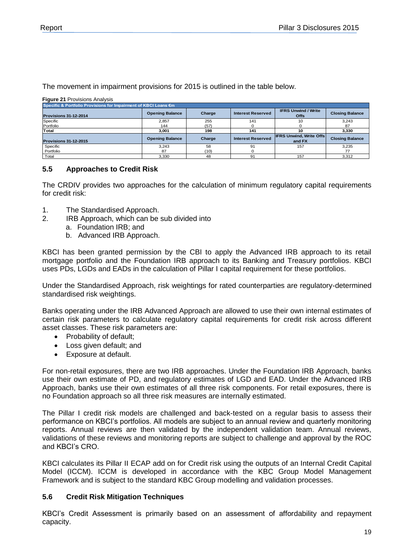The movement in impairment provisions for 2015 is outlined in the table below.

**Figure 21** Provisions Analysis

| Specific & Portfolio Provisions for Impairment of KBCI Loans €m |                        |        |                          |                                          |                        |  |  |
|-----------------------------------------------------------------|------------------------|--------|--------------------------|------------------------------------------|------------------------|--|--|
| <b>Provisions 31-12-2014</b>                                    | <b>Opening Balance</b> | Charge | <b>Interest Reserved</b> | <b>IFRS Unwind / Write</b><br>Offs       | <b>Closing Balance</b> |  |  |
| Specific                                                        | 2.857                  | 255    | 141                      |                                          | 3,243                  |  |  |
| Portfolio                                                       | 144                    | (57)   |                          |                                          | 87                     |  |  |
| Total                                                           | 3.001                  | 198    | 141                      | 10                                       | 3,330                  |  |  |
| <b>Provisions 31-12-2015</b>                                    | <b>Opening Balance</b> | Charge | <b>Interest Reserved</b> | <b>IFRS Unwind, Write Offs</b><br>and FX | <b>Closing Balance</b> |  |  |
| Specific                                                        | 3.243                  | 58     | 91                       | 157                                      | 3.235                  |  |  |
| Portfolio                                                       | 87                     | (10)   |                          |                                          | 77                     |  |  |
| Total                                                           | 3.330                  | 48     | 91                       | 157                                      | 3.312                  |  |  |

#### <span id="page-18-0"></span>**5.5 Approaches to Credit Risk**

The CRDIV provides two approaches for the calculation of minimum regulatory capital requirements for credit risk:

- 1. The Standardised Approach.
- 2. IRB Approach, which can be sub divided into
	- a. Foundation IRB; and
		- b. Advanced IRB Approach.

KBCI has been granted permission by the CBI to apply the Advanced IRB approach to its retail mortgage portfolio and the Foundation IRB approach to its Banking and Treasury portfolios. KBCI uses PDs, LGDs and EADs in the calculation of Pillar I capital requirement for these portfolios.

Under the Standardised Approach, risk weightings for rated counterparties are regulatory-determined standardised risk weightings.

Banks operating under the IRB Advanced Approach are allowed to use their own internal estimates of certain risk parameters to calculate regulatory capital requirements for credit risk across different asset classes. These risk parameters are:

- Probability of default:
- Loss given default; and
- Exposure at default.

For non-retail exposures, there are two IRB approaches. Under the Foundation IRB Approach, banks use their own estimate of PD, and regulatory estimates of LGD and EAD. Under the Advanced IRB Approach, banks use their own estimates of all three risk components. For retail exposures, there is no Foundation approach so all three risk measures are internally estimated.

The Pillar I credit risk models are challenged and back-tested on a regular basis to assess their performance on KBCI's portfolios. All models are subject to an annual review and quarterly monitoring reports. Annual reviews are then validated by the independent validation team. Annual reviews, validations of these reviews and monitoring reports are subject to challenge and approval by the ROC and KBCI's CRO.

KBCI calculates its Pillar II ECAP add on for Credit risk using the outputs of an Internal Credit Capital Model (ICCM). ICCM is developed in accordance with the KBC Group Model Management Framework and is subject to the standard KBC Group modelling and validation processes.

#### <span id="page-18-1"></span>**5.6 Credit Risk Mitigation Techniques**

KBCI's Credit Assessment is primarily based on an assessment of affordability and repayment capacity.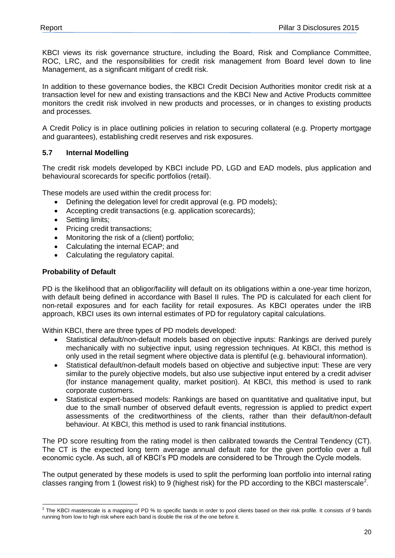KBCI views its risk governance structure, including the Board, Risk and Compliance Committee, ROC, LRC, and the responsibilities for credit risk management from Board level down to line Management, as a significant mitigant of credit risk.

In addition to these governance bodies, the KBCI Credit Decision Authorities monitor credit risk at a transaction level for new and existing transactions and the KBCI New and Active Products committee monitors the credit risk involved in new products and processes, or in changes to existing products and processes.

A Credit Policy is in place outlining policies in relation to securing collateral (e.g. Property mortgage and guarantees), establishing credit reserves and risk exposures.

#### <span id="page-19-0"></span>**5.7 Internal Modelling**

The credit risk models developed by KBCI include PD, LGD and EAD models, plus application and behavioural scorecards for specific portfolios (retail).

These models are used within the credit process for:

- Defining the delegation level for credit approval (e.g. PD models);
- Accepting credit transactions (e.g. application scorecards);
- Setting limits:
- Pricing credit transactions;
- Monitoring the risk of a (client) portfolio;
- Calculating the internal ECAP; and
- Calculating the regulatory capital.

#### **Probability of Default**

PD is the likelihood that an obligor/facility will default on its obligations within a one-year time horizon, with default being defined in accordance with Basel II rules. The PD is calculated for each client for non-retail exposures and for each facility for retail exposures. As KBCI operates under the IRB approach, KBCI uses its own internal estimates of PD for regulatory capital calculations.

Within KBCI, there are three types of PD models developed:

- Statistical default/non-default models based on objective inputs: Rankings are derived purely mechanically with no subjective input, using regression techniques. At KBCI, this method is only used in the retail segment where objective data is plentiful (e.g. behavioural information).
- Statistical default/non-default models based on objective and subjective input: These are very similar to the purely objective models, but also use subjective input entered by a credit adviser (for instance management quality, market position). At KBCI, this method is used to rank corporate customers.
- Statistical expert-based models: Rankings are based on quantitative and qualitative input, but due to the small number of observed default events, regression is applied to predict expert assessments of the creditworthiness of the clients, rather than their default/non-default behaviour. At KBCI, this method is used to rank financial institutions.

The PD score resulting from the rating model is then calibrated towards the Central Tendency (CT). The CT is the expected long term average annual default rate for the given portfolio over a full economic cycle. As such, all of KBCI's PD models are considered to be Through the Cycle models.

The output generated by these models is used to split the performing loan portfolio into internal rating classes ranging from 1 (lowest risk) to 9 (highest risk) for the PD according to the KBCI masterscale<sup>2</sup>.

 2 The KBCI masterscale is a mapping of PD % to specific bands in order to pool clients based on their risk profile. It consists of 9 bands running from low to high risk where each band is double the risk of the one before it.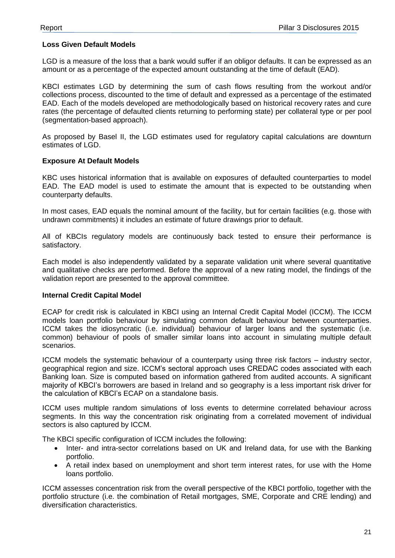#### **Loss Given Default Models**

LGD is a measure of the loss that a bank would suffer if an obligor defaults. It can be expressed as an amount or as a percentage of the expected amount outstanding at the time of default (EAD).

KBCI estimates LGD by determining the sum of cash flows resulting from the workout and/or collections process, discounted to the time of default and expressed as a percentage of the estimated EAD. Each of the models developed are methodologically based on historical recovery rates and cure rates (the percentage of defaulted clients returning to performing state) per collateral type or per pool (segmentation-based approach).

As proposed by Basel II, the LGD estimates used for regulatory capital calculations are downturn estimates of LGD.

#### **Exposure At Default Models**

KBC uses historical information that is available on exposures of defaulted counterparties to model EAD. The EAD model is used to estimate the amount that is expected to be outstanding when counterparty defaults.

In most cases, EAD equals the nominal amount of the facility, but for certain facilities (e.g. those with undrawn commitments) it includes an estimate of future drawings prior to default.

All of KBCIs regulatory models are continuously back tested to ensure their performance is satisfactory.

Each model is also independently validated by a separate validation unit where several quantitative and qualitative checks are performed. Before the approval of a new rating model, the findings of the validation report are presented to the approval committee.

#### **Internal Credit Capital Model**

ECAP for credit risk is calculated in KBCI using an Internal Credit Capital Model (ICCM). The ICCM models loan portfolio behaviour by simulating common default behaviour between counterparties. ICCM takes the idiosyncratic (i.e. individual) behaviour of larger loans and the systematic (i.e. common) behaviour of pools of smaller similar loans into account in simulating multiple default scenarios.

ICCM models the systematic behaviour of a counterparty using three risk factors – industry sector, geographical region and size. ICCM's sectoral approach uses CREDAC codes associated with each Banking loan. Size is computed based on information gathered from audited accounts. A significant majority of KBCI's borrowers are based in Ireland and so geography is a less important risk driver for the calculation of KBCI's ECAP on a standalone basis.

ICCM uses multiple random simulations of loss events to determine correlated behaviour across segments. In this way the concentration risk originating from a correlated movement of individual sectors is also captured by ICCM.

The KBCI specific configuration of ICCM includes the following:

- Inter- and intra-sector correlations based on UK and Ireland data, for use with the Banking portfolio.
- A retail index based on unemployment and short term interest rates, for use with the Home loans portfolio.

ICCM assesses concentration risk from the overall perspective of the KBCI portfolio, together with the portfolio structure (i.e. the combination of Retail mortgages, SME, Corporate and CRE lending) and diversification characteristics.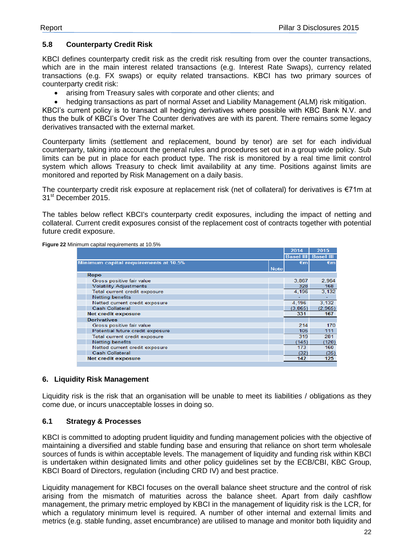#### <span id="page-21-0"></span>**5.8 Counterparty Credit Risk**

KBCI defines counterparty credit risk as the credit risk resulting from over the counter transactions, which are in the main interest related transactions (e.g. Interest Rate Swaps), currency related transactions (e.g. FX swaps) or equity related transactions. KBCI has two primary sources of counterparty credit risk:

arising from Treasury sales with corporate and other clients; and

hedging transactions as part of normal Asset and Liability Management (ALM) risk mitigation.

KBCI's current policy is to transact all hedging derivatives where possible with KBC Bank N.V. and thus the bulk of KBCI's Over The Counter derivatives are with its parent. There remains some legacy derivatives transacted with the external market.

Counterparty limits (settlement and replacement, bound by tenor) are set for each individual counterparty, taking into account the general rules and procedures set out in a group wide policy. Sub limits can be put in place for each product type. The risk is monitored by a real time limit control system which allows Treasury to check limit availability at any time. Positions against limits are monitored and reported by Risk Management on a daily basis.

The counterparty credit risk exposure at replacement risk (net of collateral) for derivatives is €71m at 31<sup>st</sup> December 2015.

The tables below reflect KBCI's counterparty credit exposures, including the impact of netting and collateral. Current credit exposures consist of the replacement cost of contracts together with potential future credit exposure.

| <b>Figure 22 Minimum capital requirements at 10.5%</b> |
|--------------------------------------------------------|
|--------------------------------------------------------|

|                                       |             | 2014             | 2015             |
|---------------------------------------|-------------|------------------|------------------|
|                                       |             | <b>Basel III</b> | <b>Basel III</b> |
| Minimum capital requirements at 10.5% |             | €m               | €m               |
|                                       | <b>Note</b> |                  |                  |
| Repo                                  |             |                  |                  |
| Gross positive fair value             |             | 3,867            | 2,964            |
| <b>Volatility Adjustments</b>         |             | 328              | 168              |
| Total current credit exposure         |             | 4.196            | 3,132            |
| <b>Netting benefits</b>               |             |                  |                  |
| Netted current credit exposure        |             | 4.196            | 3,132            |
| <b>Cash Collateral</b>                |             | (3, 865)         | (2,965)          |
| <b>Net credit exposure</b>            |             | 331              | 167              |
| <b>Derivatives</b>                    |             |                  |                  |
| Gross positive fair value             |             | 214              | 170              |
| Potential future credit exposure      |             | 105              | 111              |
| Total current credit exposure         |             | 319              | 281              |
| <b>Netting benefits</b>               |             | (145)            | (120)            |
| Netted current credit exposure        |             | 173              | 160              |
| <b>Cash Collateral</b>                |             | (32)             | (35)             |
| <b>Net credit exposure</b>            |             | 142              | 125              |
|                                       |             |                  |                  |

#### <span id="page-21-1"></span>**6. Liquidity Risk Management**

Liquidity risk is the risk that an organisation will be unable to meet its liabilities / obligations as they come due, or incurs unacceptable losses in doing so.

#### <span id="page-21-2"></span>**6.1 Strategy & Processes**

KBCI is committed to adopting prudent liquidity and funding management policies with the objective of maintaining a diversified and stable funding base and ensuring that reliance on short term wholesale sources of funds is within acceptable levels. The management of liquidity and funding risk within KBCI is undertaken within designated limits and other policy guidelines set by the ECB/CBI, KBC Group, KBCI Board of Directors, regulation (including CRD IV) and best practice.

Liquidity management for KBCI focuses on the overall balance sheet structure and the control of risk arising from the mismatch of maturities across the balance sheet. Apart from daily cashflow management, the primary metric employed by KBCI in the management of liquidity risk is the LCR, for which a regulatory minimum level is required. A number of other internal and external limits and metrics (e.g. stable funding, asset encumbrance) are utilised to manage and monitor both liquidity and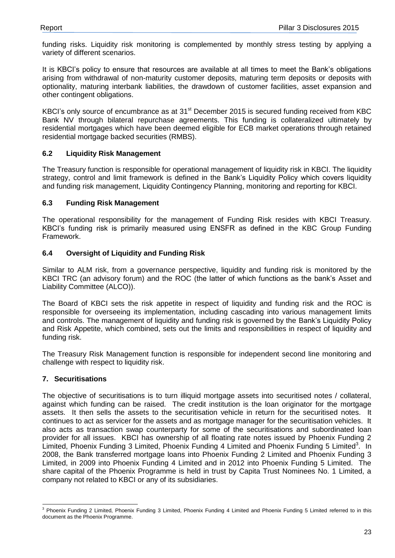funding risks. Liquidity risk monitoring is complemented by monthly stress testing by applying a variety of different scenarios.

It is KBCI's policy to ensure that resources are available at all times to meet the Bank's obligations arising from withdrawal of non-maturity customer deposits, maturing term deposits or deposits with optionality, maturing interbank liabilities, the drawdown of customer facilities, asset expansion and other contingent obligations.

KBCI's only source of encumbrance as at 31<sup>st</sup> December 2015 is secured funding received from KBC Bank NV through bilateral repurchase agreements. This funding is collateralized ultimately by residential mortgages which have been deemed eligible for ECB market operations through retained residential mortgage backed securities (RMBS).

#### <span id="page-22-0"></span>**6.2 Liquidity Risk Management**

The Treasury function is responsible for operational management of liquidity risk in KBCI. The liquidity strategy, control and limit framework is defined in the Bank's Liquidity Policy which covers liquidity and funding risk management, Liquidity Contingency Planning, monitoring and reporting for KBCI.

#### <span id="page-22-1"></span>**6.3 Funding Risk Management**

The operational responsibility for the management of Funding Risk resides with KBCI Treasury. KBCI's funding risk is primarily measured using ENSFR as defined in the KBC Group Funding Framework.

#### <span id="page-22-2"></span>**6.4 Oversight of Liquidity and Funding Risk**

Similar to ALM risk, from a governance perspective, liquidity and funding risk is monitored by the KBCI TRC (an advisory forum) and the ROC (the latter of which functions as the bank's Asset and Liability Committee (ALCO)).

The Board of KBCI sets the risk appetite in respect of liquidity and funding risk and the ROC is responsible for overseeing its implementation, including cascading into various management limits and controls. The management of liquidity and funding risk is governed by the Bank's Liquidity Policy and Risk Appetite, which combined, sets out the limits and responsibilities in respect of liquidity and funding risk.

The Treasury Risk Management function is responsible for independent second line monitoring and challenge with respect to liquidity risk.

#### <span id="page-22-3"></span>**7. Securitisations**

The objective of securitisations is to turn illiquid mortgage assets into securitised notes / collateral, against which funding can be raised. The credit institution is the loan originator for the mortgage assets. It then sells the assets to the securitisation vehicle in return for the securitised notes. It continues to act as servicer for the assets and as mortgage manager for the securitisation vehicles. It also acts as transaction swap counterparty for some of the securitisations and subordinated loan provider for all issues. KBCI has ownership of all floating rate notes issued by Phoenix Funding 2 Limited, Phoenix Funding 3 Limited, Phoenix Funding 4 Limited and Phoenix Funding 5 Limited<sup>3</sup>. In 2008, the Bank transferred mortgage loans into Phoenix Funding 2 Limited and Phoenix Funding 3 Limited, in 2009 into Phoenix Funding 4 Limited and in 2012 into Phoenix Funding 5 Limited. The share capital of the Phoenix Programme is held in trust by Capita Trust Nominees No. 1 Limited, a company not related to KBCI or any of its subsidiaries.

 <sup>3</sup> Phoenix Funding 2 Limited, Phoenix Funding 3 Limited, Phoenix Funding 4 Limited and Phoenix Funding 5 Limited referred to in this document as the Phoenix Programme.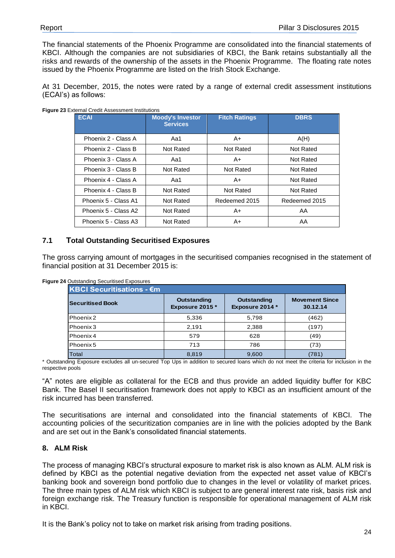The financial statements of the Phoenix Programme are consolidated into the financial statements of KBCI. Although the companies are not subsidiaries of KBCI, the Bank retains substantially all the risks and rewards of the ownership of the assets in the Phoenix Programme. The floating rate notes issued by the Phoenix Programme are listed on the Irish Stock Exchange.

At 31 December, 2015, the notes were rated by a range of external credit assessment institutions (ECAI's) as follows:

| <b>ECAI</b>          | <b>Moody's Investor</b><br><b>Services</b> | <b>Fitch Ratings</b> | <b>DBRS</b>   |
|----------------------|--------------------------------------------|----------------------|---------------|
| Phoenix 2 - Class A  | Aa1                                        | A+                   | A(H)          |
| Phoenix 2 - Class B  | Not Rated                                  | Not Rated            | Not Rated     |
| Phoenix 3 - Class A  | Aa1                                        | A+                   | Not Rated     |
| Phoenix 3 - Class B  | Not Rated                                  | Not Rated            | Not Rated     |
| Phoenix 4 - Class A  | Aa1                                        | A+                   | Not Rated     |
| Phoenix 4 - Class B  | Not Rated                                  | Not Rated            | Not Rated     |
| Phoenix 5 - Class A1 | Not Rated                                  | Redeemed 2015        | Redeemed 2015 |
| Phoenix 5 - Class A2 | Not Rated                                  | A+                   | AA            |
| Phoenix 5 - Class A3 | Not Rated                                  | A+                   | AA            |

**Figure 23** External Credit Assessment Institutions

#### <span id="page-23-0"></span>**7.1 Total Outstanding Securitised Exposures**

The gross carrying amount of mortgages in the securitised companies recognised in the statement of financial position at 31 December 2015 is:

| <b>KBCI Securitisations - €m</b> |                                       |                                |                                   |  |  |  |
|----------------------------------|---------------------------------------|--------------------------------|-----------------------------------|--|--|--|
| <b>Securitised Book</b>          | <b>Outstanding</b><br>Exposure 2015 * | Outstanding<br>Exposure 2014 * | <b>Movement Since</b><br>30.12.14 |  |  |  |
| Phoenix 2                        | 5,336                                 | 5,798                          | (462)                             |  |  |  |
| Phoenix 3                        | 2,191                                 | 2,388                          | (197)                             |  |  |  |
| Phoenix 4                        | 579                                   | 628                            | (49)                              |  |  |  |
| Phoenix 5                        | 713                                   | 786                            | (73)                              |  |  |  |
| Total                            | 8,819                                 | 9,600                          | (781)                             |  |  |  |

**Figure 24** Outstanding Securitised Exposures

\* Outstanding Exposure excludes all un-secured Top Ups in addition to secured loans which do not meet the criteria for inclusion in the respective pools

"A" notes are eligible as collateral for the ECB and thus provide an added liquidity buffer for KBC Bank. The Basel II securitisation framework does not apply to KBCI as an insufficient amount of the risk incurred has been transferred.

The securitisations are internal and consolidated into the financial statements of KBCI. The accounting policies of the securitization companies are in line with the policies adopted by the Bank and are set out in the Bank's consolidated financial statements.

#### <span id="page-23-1"></span>**8. ALM Risk**

The process of managing KBCI's structural exposure to market risk is also known as ALM. ALM risk is defined by KBCI as the potential negative deviation from the expected net asset value of KBCI's banking book and sovereign bond portfolio due to changes in the level or volatility of market prices. The three main types of ALM risk which KBCI is subject to are general interest rate risk, basis risk and foreign exchange risk. The Treasury function is responsible for operational management of ALM risk in KBCI.

It is the Bank's policy not to take on market risk arising from trading positions.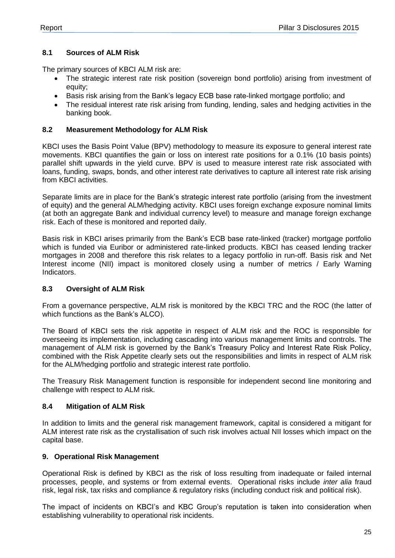#### <span id="page-24-0"></span>**8.1 Sources of ALM Risk**

The primary sources of KBCI ALM risk are:

- The strategic interest rate risk position (sovereign bond portfolio) arising from investment of equity;
- Basis risk arising from the Bank's legacy ECB base rate-linked mortgage portfolio; and
- The residual interest rate risk arising from funding, lending, sales and hedging activities in the banking book.

#### <span id="page-24-1"></span>**8.2 Measurement Methodology for ALM Risk**

KBCI uses the Basis Point Value (BPV) methodology to measure its exposure to general interest rate movements. KBCI quantifies the gain or loss on interest rate positions for a 0.1% (10 basis points) parallel shift upwards in the yield curve. BPV is used to measure interest rate risk associated with loans, funding, swaps, bonds, and other interest rate derivatives to capture all interest rate risk arising from KBCI activities.

Separate limits are in place for the Bank's strategic interest rate portfolio (arising from the investment of equity) and the general ALM/hedging activity. KBCI uses foreign exchange exposure nominal limits (at both an aggregate Bank and individual currency level) to measure and manage foreign exchange risk. Each of these is monitored and reported daily.

Basis risk in KBCI arises primarily from the Bank's ECB base rate-linked (tracker) mortgage portfolio which is funded via Euribor or administered rate-linked products. KBCI has ceased lending tracker mortgages in 2008 and therefore this risk relates to a legacy portfolio in run-off. Basis risk and Net Interest income (NII) impact is monitored closely using a number of metrics / Early Warning Indicators.

#### <span id="page-24-2"></span>**8.3 Oversight of ALM Risk**

From a governance perspective, ALM risk is monitored by the KBCI TRC and the ROC (the latter of which functions as the Bank's ALCO).

The Board of KBCI sets the risk appetite in respect of ALM risk and the ROC is responsible for overseeing its implementation, including cascading into various management limits and controls. The management of ALM risk is governed by the Bank's Treasury Policy and Interest Rate Risk Policy, combined with the Risk Appetite clearly sets out the responsibilities and limits in respect of ALM risk for the ALM/hedging portfolio and strategic interest rate portfolio.

The Treasury Risk Management function is responsible for independent second line monitoring and challenge with respect to ALM risk.

#### <span id="page-24-3"></span>**8.4 Mitigation of ALM Risk**

In addition to limits and the general risk management framework, capital is considered a mitigant for ALM interest rate risk as the crystallisation of such risk involves actual NII losses which impact on the capital base.

#### <span id="page-24-4"></span>**9. Operational Risk Management**

Operational Risk is defined by KBCI as the risk of loss resulting from inadequate or failed internal processes, people, and systems or from external events. Operational risks include *inter alia* fraud risk, legal risk, tax risks and compliance & regulatory risks (including conduct risk and political risk).

The impact of incidents on KBCI's and KBC Group's reputation is taken into consideration when establishing vulnerability to operational risk incidents.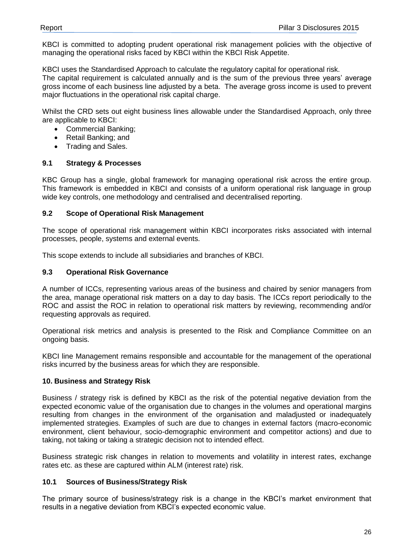KBCI is committed to adopting prudent operational risk management policies with the objective of managing the operational risks faced by KBCI within the KBCI Risk Appetite.

KBCI uses the Standardised Approach to calculate the regulatory capital for operational risk.

The capital requirement is calculated annually and is the sum of the previous three years' average gross income of each business line adjusted by a beta. The average gross income is used to prevent major fluctuations in the operational risk capital charge.

Whilst the CRD sets out eight business lines allowable under the Standardised Approach, only three are applicable to KBCI:

- Commercial Banking;
- Retail Banking; and
- Trading and Sales.

#### <span id="page-25-0"></span>**9.1 Strategy & Processes**

KBC Group has a single, global framework for managing operational risk across the entire group. This framework is embedded in KBCI and consists of a uniform operational risk language in group wide key controls, one methodology and centralised and decentralised reporting.

#### <span id="page-25-1"></span>**9.2 Scope of Operational Risk Management**

The scope of operational risk management within KBCI incorporates risks associated with internal processes, people, systems and external events.

This scope extends to include all subsidiaries and branches of KBCI.

#### <span id="page-25-2"></span>**9.3 Operational Risk Governance**

A number of ICCs, representing various areas of the business and chaired by senior managers from the area, manage operational risk matters on a day to day basis. The ICCs report periodically to the ROC and assist the ROC in relation to operational risk matters by reviewing, recommending and/or requesting approvals as required.

Operational risk metrics and analysis is presented to the Risk and Compliance Committee on an ongoing basis.

KBCI line Management remains responsible and accountable for the management of the operational risks incurred by the business areas for which they are responsible.

#### <span id="page-25-3"></span>**10. Business and Strategy Risk**

Business / strategy risk is defined by KBCI as the risk of the potential negative deviation from the expected economic value of the organisation due to changes in the volumes and operational margins resulting from changes in the environment of the organisation and maladjusted or inadequately implemented strategies. Examples of such are due to changes in external factors (macro-economic environment, client behaviour, socio-demographic environment and competitor actions) and due to taking, not taking or taking a strategic decision not to intended effect.

Business strategic risk changes in relation to movements and volatility in interest rates, exchange rates etc. as these are captured within ALM (interest rate) risk.

#### <span id="page-25-4"></span>**10.1 Sources of Business/Strategy Risk**

The primary source of business/strategy risk is a change in the KBCI's market environment that results in a negative deviation from KBCI's expected economic value.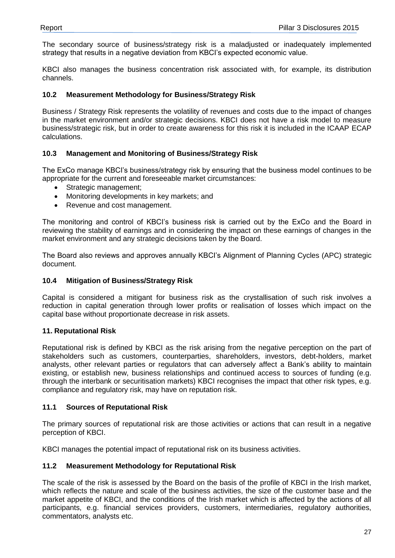The secondary source of business/strategy risk is a maladjusted or inadequately implemented strategy that results in a negative deviation from KBCI's expected economic value.

KBCI also manages the business concentration risk associated with, for example, its distribution channels.

#### <span id="page-26-0"></span>**10.2 Measurement Methodology for Business/Strategy Risk**

Business / Strategy Risk represents the volatility of revenues and costs due to the impact of changes in the market environment and/or strategic decisions. KBCI does not have a risk model to measure business/strategic risk, but in order to create awareness for this risk it is included in the ICAAP ECAP calculations.

#### <span id="page-26-1"></span>**10.3 Management and Monitoring of Business/Strategy Risk**

The ExCo manage KBCI's business/strategy risk by ensuring that the business model continues to be appropriate for the current and foreseeable market circumstances:

- Strategic management:
- Monitoring developments in key markets; and
- Revenue and cost management.

The monitoring and control of KBCI's business risk is carried out by the ExCo and the Board in reviewing the stability of earnings and in considering the impact on these earnings of changes in the market environment and any strategic decisions taken by the Board.

The Board also reviews and approves annually KBCI's Alignment of Planning Cycles (APC) strategic document.

#### <span id="page-26-2"></span>**10.4 Mitigation of Business/Strategy Risk**

Capital is considered a mitigant for business risk as the crystallisation of such risk involves a reduction in capital generation through lower profits or realisation of losses which impact on the capital base without proportionate decrease in risk assets.

#### <span id="page-26-3"></span>**11. Reputational Risk**

Reputational risk is defined by KBCI as the risk arising from the negative perception on the part of stakeholders such as customers, counterparties, shareholders, investors, debt-holders, market analysts, other relevant parties or regulators that can adversely affect a Bank's ability to maintain existing, or establish new, business relationships and continued access to sources of funding (e.g. through the interbank or securitisation markets) KBCI recognises the impact that other risk types, e.g. compliance and regulatory risk, may have on reputation risk.

#### <span id="page-26-4"></span>**11.1 Sources of Reputational Risk**

The primary sources of reputational risk are those activities or actions that can result in a negative perception of KBCI.

KBCI manages the potential impact of reputational risk on its business activities.

#### <span id="page-26-5"></span>**11.2 Measurement Methodology for Reputational Risk**

The scale of the risk is assessed by the Board on the basis of the profile of KBCI in the Irish market, which reflects the nature and scale of the business activities, the size of the customer base and the market appetite of KBCI, and the conditions of the Irish market which is affected by the actions of all participants, e.g. financial services providers, customers, intermediaries, regulatory authorities, commentators, analysts etc.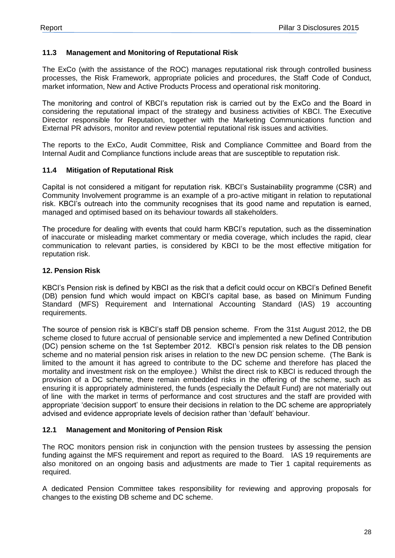#### <span id="page-27-0"></span>**11.3 Management and Monitoring of Reputational Risk**

The ExCo (with the assistance of the ROC) manages reputational risk through controlled business processes, the Risk Framework, appropriate policies and procedures, the Staff Code of Conduct, market information, New and Active Products Process and operational risk monitoring.

The monitoring and control of KBCI's reputation risk is carried out by the ExCo and the Board in considering the reputational impact of the strategy and business activities of KBCI. The Executive Director responsible for Reputation, together with the Marketing Communications function and External PR advisors, monitor and review potential reputational risk issues and activities.

The reports to the ExCo, Audit Committee, Risk and Compliance Committee and Board from the Internal Audit and Compliance functions include areas that are susceptible to reputation risk.

#### <span id="page-27-1"></span>**11.4 Mitigation of Reputational Risk**

Capital is not considered a mitigant for reputation risk. KBCI's Sustainability programme (CSR) and Community Involvement programme is an example of a pro-active mitigant in relation to reputational risk. KBCI's outreach into the community recognises that its good name and reputation is earned, managed and optimised based on its behaviour towards all stakeholders.

The procedure for dealing with events that could harm KBCI's reputation, such as the dissemination of inaccurate or misleading market commentary or media coverage, which includes the rapid, clear communication to relevant parties, is considered by KBCI to be the most effective mitigation for reputation risk.

#### <span id="page-27-2"></span>**12. Pension Risk**

KBCI's Pension risk is defined by KBCI as the risk that a deficit could occur on KBCI's Defined Benefit (DB) pension fund which would impact on KBCI's capital base, as based on Minimum Funding Standard (MFS) Requirement and International Accounting Standard (IAS) 19 accounting requirements.

The source of pension risk is KBCI's staff DB pension scheme. From the 31st August 2012, the DB scheme closed to future accrual of pensionable service and implemented a new Defined Contribution (DC) pension scheme on the 1st September 2012. KBCI's pension risk relates to the DB pension scheme and no material pension risk arises in relation to the new DC pension scheme. (The Bank is limited to the amount it has agreed to contribute to the DC scheme and therefore has placed the mortality and investment risk on the employee.) Whilst the direct risk to KBCI is reduced through the provision of a DC scheme, there remain embedded risks in the offering of the scheme, such as ensuring it is appropriately administered, the funds (especially the Default Fund) are not materially out of line with the market in terms of performance and cost structures and the staff are provided with appropriate 'decision support' to ensure their decisions in relation to the DC scheme are appropriately advised and evidence appropriate levels of decision rather than 'default' behaviour.

#### <span id="page-27-3"></span>**12.1 Management and Monitoring of Pension Risk**

The ROC monitors pension risk in conjunction with the pension trustees by assessing the pension funding against the MFS requirement and report as required to the Board. IAS 19 requirements are also monitored on an ongoing basis and adjustments are made to Tier 1 capital requirements as required.

A dedicated Pension Committee takes responsibility for reviewing and approving proposals for changes to the existing DB scheme and DC scheme.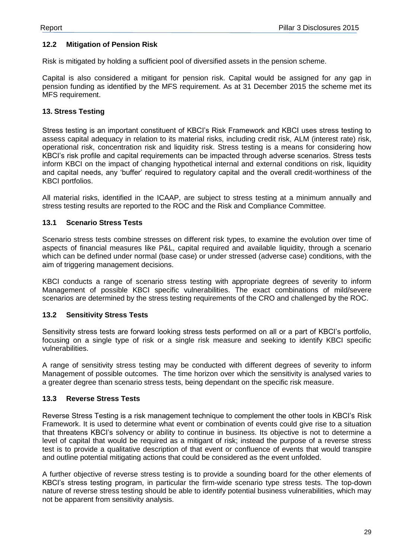#### <span id="page-28-0"></span>**12.2 Mitigation of Pension Risk**

Risk is mitigated by holding a sufficient pool of diversified assets in the pension scheme.

Capital is also considered a mitigant for pension risk. Capital would be assigned for any gap in pension funding as identified by the MFS requirement. As at 31 December 2015 the scheme met its MFS requirement.

#### <span id="page-28-1"></span>**13. Stress Testing**

Stress testing is an important constituent of KBCI's Risk Framework and KBCI uses stress testing to assess capital adequacy in relation to its material risks, including credit risk, ALM (interest rate) risk, operational risk, concentration risk and liquidity risk. Stress testing is a means for considering how KBCI's risk profile and capital requirements can be impacted through adverse scenarios. Stress tests inform KBCI on the impact of changing hypothetical internal and external conditions on risk, liquidity and capital needs, any 'buffer' required to regulatory capital and the overall credit-worthiness of the KBCI portfolios.

All material risks, identified in the ICAAP, are subject to stress testing at a minimum annually and stress testing results are reported to the ROC and the Risk and Compliance Committee.

#### <span id="page-28-2"></span>**13.1 Scenario Stress Tests**

Scenario stress tests combine stresses on different risk types, to examine the evolution over time of aspects of financial measures like P&L, capital required and available liquidity, through a scenario which can be defined under normal (base case) or under stressed (adverse case) conditions, with the aim of triggering management decisions.

KBCI conducts a range of scenario stress testing with appropriate degrees of severity to inform Management of possible KBCI specific vulnerabilities. The exact combinations of mild/severe scenarios are determined by the stress testing requirements of the CRO and challenged by the ROC.

#### <span id="page-28-3"></span>**13.2 Sensitivity Stress Tests**

Sensitivity stress tests are forward looking stress tests performed on all or a part of KBCI's portfolio, focusing on a single type of risk or a single risk measure and seeking to identify KBCI specific vulnerabilities.

A range of sensitivity stress testing may be conducted with different degrees of severity to inform Management of possible outcomes. The time horizon over which the sensitivity is analysed varies to a greater degree than scenario stress tests, being dependant on the specific risk measure.

#### <span id="page-28-4"></span>**13.3 Reverse Stress Tests**

Reverse Stress Testing is a risk management technique to complement the other tools in KBCI's Risk Framework. It is used to determine what event or combination of events could give rise to a situation that threatens KBCI's solvency or ability to continue in business. Its objective is not to determine a level of capital that would be required as a mitigant of risk; instead the purpose of a reverse stress test is to provide a qualitative description of that event or confluence of events that would transpire and outline potential mitigating actions that could be considered as the event unfolded.

A further objective of reverse stress testing is to provide a sounding board for the other elements of KBCI's stress testing program, in particular the firm-wide scenario type stress tests. The top-down nature of reverse stress testing should be able to identify potential business vulnerabilities, which may not be apparent from sensitivity analysis.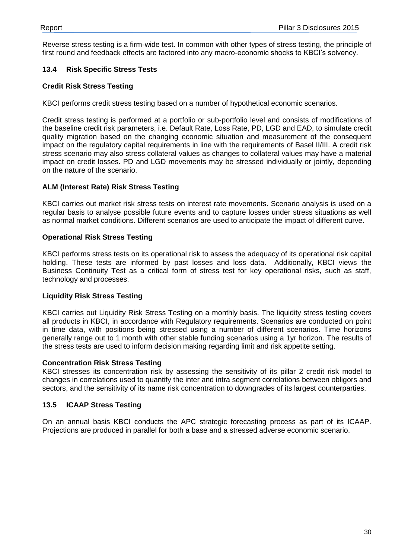Reverse stress testing is a firm-wide test. In common with other types of stress testing, the principle of first round and feedback effects are factored into any macro-economic shocks to KBCI's solvency.

#### <span id="page-29-0"></span>**13.4 Risk Specific Stress Tests**

#### **Credit Risk Stress Testing**

KBCI performs credit stress testing based on a number of hypothetical economic scenarios.

Credit stress testing is performed at a portfolio or sub-portfolio level and consists of modifications of the baseline credit risk parameters, i.e. Default Rate, Loss Rate, PD, LGD and EAD, to simulate credit quality migration based on the changing economic situation and measurement of the consequent impact on the regulatory capital requirements in line with the requirements of Basel II/III. A credit risk stress scenario may also stress collateral values as changes to collateral values may have a material impact on credit losses. PD and LGD movements may be stressed individually or jointly, depending on the nature of the scenario.

#### **ALM (Interest Rate) Risk Stress Testing**

KBCI carries out market risk stress tests on interest rate movements. Scenario analysis is used on a regular basis to analyse possible future events and to capture losses under stress situations as well as normal market conditions. Different scenarios are used to anticipate the impact of different curve.

#### **Operational Risk Stress Testing**

KBCI performs stress tests on its operational risk to assess the adequacy of its operational risk capital holding. These tests are informed by past losses and loss data. Additionally, KBCI views the Business Continuity Test as a critical form of stress test for key operational risks, such as staff, technology and processes.

#### **Liquidity Risk Stress Testing**

KBCI carries out Liquidity Risk Stress Testing on a monthly basis. The liquidity stress testing covers all products in KBCI, in accordance with Regulatory requirements. Scenarios are conducted on point in time data, with positions being stressed using a number of different scenarios. Time horizons generally range out to 1 month with other stable funding scenarios using a 1yr horizon. The results of the stress tests are used to inform decision making regarding limit and risk appetite setting.

#### **Concentration Risk Stress Testing**

KBCI stresses its concentration risk by assessing the sensitivity of its pillar 2 credit risk model to changes in correlations used to quantify the inter and intra segment correlations between obligors and sectors, and the sensitivity of its name risk concentration to downgrades of its largest counterparties.

#### <span id="page-29-1"></span>**13.5 ICAAP Stress Testing**

On an annual basis KBCI conducts the APC strategic forecasting process as part of its ICAAP. Projections are produced in parallel for both a base and a stressed adverse economic scenario.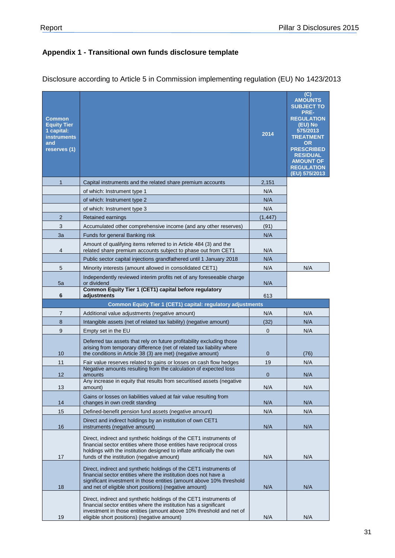# <span id="page-30-0"></span>**Appendix 1 - Transitional own funds disclosure template**

| <b>Common</b><br><b>Equity Tier</b><br>1 capital:<br><b>instruments</b><br>and<br>reserves (1) |                                                                                                                                                                                                                                                                         | 2014           | (C)<br><b>AMOUNTS</b><br><b>SUBJECT TO</b><br>PRE-<br><b>REGULATION</b><br>(EU) No<br>575/2013<br><b>TREATMENT</b><br><b>OR</b><br><b>PRESCRIBED</b><br><b>RESIDUAL</b><br><b>AMOUNT OF</b><br><b>REGULATION</b><br>(EU) 575/2013 |
|------------------------------------------------------------------------------------------------|-------------------------------------------------------------------------------------------------------------------------------------------------------------------------------------------------------------------------------------------------------------------------|----------------|-----------------------------------------------------------------------------------------------------------------------------------------------------------------------------------------------------------------------------------|
| $\mathbf{1}$                                                                                   | Capital instruments and the related share premium accounts                                                                                                                                                                                                              | 2,151          |                                                                                                                                                                                                                                   |
|                                                                                                | of which: Instrument type 1                                                                                                                                                                                                                                             | N/A            |                                                                                                                                                                                                                                   |
|                                                                                                | of which: Instrument type 2                                                                                                                                                                                                                                             | N/A            |                                                                                                                                                                                                                                   |
|                                                                                                | of which: Instrument type 3                                                                                                                                                                                                                                             | N/A            |                                                                                                                                                                                                                                   |
| $\overline{2}$                                                                                 | Retained earnings                                                                                                                                                                                                                                                       | (1, 447)       |                                                                                                                                                                                                                                   |
| 3                                                                                              | Accumulated other comprehensive income (and any other reserves)                                                                                                                                                                                                         | (91)           |                                                                                                                                                                                                                                   |
| 3a                                                                                             | Funds for general Banking risk                                                                                                                                                                                                                                          | N/A            |                                                                                                                                                                                                                                   |
|                                                                                                | Amount of qualifying items referred to in Article 484 (3) and the                                                                                                                                                                                                       |                |                                                                                                                                                                                                                                   |
| 4                                                                                              | related share premium accounts subject to phase out from CET1                                                                                                                                                                                                           | N/A            |                                                                                                                                                                                                                                   |
|                                                                                                | Public sector capital injections grandfathered until 1 January 2018                                                                                                                                                                                                     | N/A            |                                                                                                                                                                                                                                   |
| 5                                                                                              | Minority interests (amount allowed in consolidated CET1)                                                                                                                                                                                                                | N/A            | N/A                                                                                                                                                                                                                               |
| 5a                                                                                             | Independently reviewed interim profits net of any foreseeable charge<br>or dividend                                                                                                                                                                                     | N/A            |                                                                                                                                                                                                                                   |
| 6                                                                                              | Common Equity Tier 1 (CET1) capital before regulatory<br>adjustments                                                                                                                                                                                                    | 613            |                                                                                                                                                                                                                                   |
|                                                                                                | Common Equity Tier 1 (CET1) capital: regulatory adjustments                                                                                                                                                                                                             |                |                                                                                                                                                                                                                                   |
| 7                                                                                              | Additional value adjustments (negative amount)                                                                                                                                                                                                                          | N/A            | N/A                                                                                                                                                                                                                               |
| 8                                                                                              | Intangible assets (net of related tax liability) (negative amount)                                                                                                                                                                                                      | (32)           | N/A                                                                                                                                                                                                                               |
| 9                                                                                              | Empty set in the EU                                                                                                                                                                                                                                                     | $\mathbf{0}$   | N/A                                                                                                                                                                                                                               |
| 10                                                                                             | Deferred tax assets that rely on future profitability excluding those<br>arising from temporary difference (net of related tax liability where<br>the conditions in Article 38 (3) are met) (negative amount)                                                           | $\overline{0}$ | (76)                                                                                                                                                                                                                              |
| 11                                                                                             | Fair value reserves related to gains or losses on cash flow hedges                                                                                                                                                                                                      | 19             | N/A                                                                                                                                                                                                                               |
| 12                                                                                             | Negative amounts resulting from the calculation of expected loss<br>amounts                                                                                                                                                                                             | $\mathbf{0}$   | N/A                                                                                                                                                                                                                               |
| 13                                                                                             | Any increase in equity that results from securitised assets (negative<br>amount)                                                                                                                                                                                        | N/A            | N/A                                                                                                                                                                                                                               |
| 14                                                                                             | Gains or losses on liabilities valued at fair value resulting from<br>changes in own credit standing                                                                                                                                                                    | N/A            | N/A                                                                                                                                                                                                                               |
| 15                                                                                             | Defined-benefit pension fund assets (negative amount)                                                                                                                                                                                                                   | N/A            | N/A                                                                                                                                                                                                                               |
| 16                                                                                             | Direct and indirect holdings by an institution of own CET1<br>instruments (negative amount)                                                                                                                                                                             | N/A            | N/A                                                                                                                                                                                                                               |
| 17                                                                                             | Direct, indirect and synthetic holdings of the CET1 instruments of<br>financial sector entities where those entities have reciprocal cross<br>holdings with the institution designed to inflate artificially the own<br>funds of the institution (negative amount)      | N/A            | N/A                                                                                                                                                                                                                               |
| 18                                                                                             | Direct, indirect and synthetic holdings of the CET1 instruments of<br>financial sector entities where the institution does not have a<br>significant investment in those entities (amount above 10% threshold<br>and net of eligible short positions) (negative amount) | N/A            | N/A                                                                                                                                                                                                                               |
| 19                                                                                             | Direct, indirect and synthetic holdings of the CET1 instruments of<br>financial sector entities where the institution has a significant<br>investment in those entities (amount above 10% threshold and net of<br>eligible short positions) (negative amount)           | N/A            | N/A                                                                                                                                                                                                                               |

Disclosure according to Article 5 in Commission implementing regulation (EU) No 1423/2013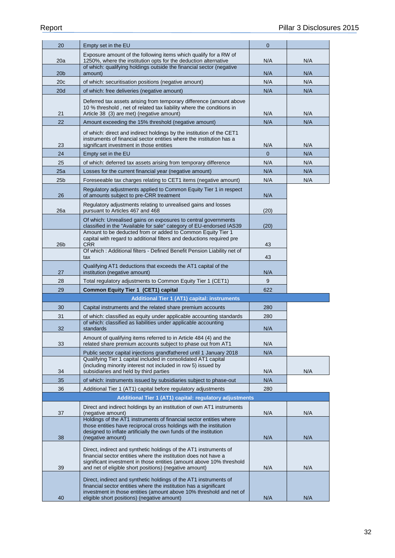| 20              | Empty set in the EU                                                                                                                                                                                                                                                    | $\overline{0}$ |     |
|-----------------|------------------------------------------------------------------------------------------------------------------------------------------------------------------------------------------------------------------------------------------------------------------------|----------------|-----|
| 20a             | Exposure amount of the following items which qualify for a RW of<br>1250%, where the institution opts for the deduction alternative                                                                                                                                    | N/A            | N/A |
| 20b             | of which: qualifying holdings outside the financial sector (negative<br>amount)                                                                                                                                                                                        | N/A            | N/A |
| 20c             | of which: securitisation positions (negative amount)                                                                                                                                                                                                                   | N/A            | N/A |
| 20d             | of which: free deliveries (negative amount)                                                                                                                                                                                                                            | N/A            | N/A |
| 21              | Deferred tax assets arising from temporary difference (amount above<br>10 % threshold, net of related tax liability where the conditions in<br>Article 38 (3) are met) (negative amount)                                                                               | N/A            | N/A |
| 22              | Amount exceeding the 15% threshold (negative amount)                                                                                                                                                                                                                   | N/A            | N/A |
| 23              | of which: direct and indirect holdings by the institution of the CET1<br>instruments of financial sector entities where the institution has a<br>significant investment in those entities                                                                              | N/A            | N/A |
| 24              | Empty set in the EU                                                                                                                                                                                                                                                    | $\overline{0}$ | N/A |
| 25              | of which: deferred tax assets arising from temporary difference                                                                                                                                                                                                        | N/A            | N/A |
| 25a             | Losses for the current financial year (negative amount)                                                                                                                                                                                                                | N/A            | N/A |
| 25 <sub>b</sub> | Foreseeable tax charges relating to CET1 items (negative amount)                                                                                                                                                                                                       | N/A            | N/A |
| 26              | Regulatory adjustments applied to Common Equity Tier 1 in respect<br>of amounts subject to pre-CRR treatment                                                                                                                                                           | N/A            |     |
| 26a             | Regulatory adjustments relating to unrealised gains and losses<br>pursuant to Articles 467 and 468                                                                                                                                                                     | (20)           |     |
|                 | Of which: Unrealised gains on exposures to central governments<br>classified in the "Available for sale" category of EU-endorsed IAS39                                                                                                                                 | (20)           |     |
| 26b             | Amount to be deducted from or added to Common Equity Tier 1<br>capital with regard to additional filters and deductions required pre<br><b>CRR</b>                                                                                                                     | 43             |     |
|                 | Of which: Additional filters - Defined Benefit Pension Liability net of<br>tax                                                                                                                                                                                         | 43             |     |
| 27              | Qualifying AT1 deductions that exceeds the AT1 capital of the<br>institution (negative amount)                                                                                                                                                                         | N/A            |     |
| 28              | Total regulatory adjustments to Common Equity Tier 1 (CET1)                                                                                                                                                                                                            | 9              |     |
| 29              | <b>Common Equity Tier 1 (CET1) capital</b>                                                                                                                                                                                                                             | 622            |     |
|                 | <b>Additional Tier 1 (AT1) capital: instruments</b>                                                                                                                                                                                                                    |                |     |
| 30              | Capital instruments and the related share premium accounts                                                                                                                                                                                                             | 280            |     |
| 31              | of which: classified as equity under applicable accounting standards                                                                                                                                                                                                   | 280            |     |
| 32              | of which: classified as liabilities under applicable accounting<br>standards                                                                                                                                                                                           | N/A            |     |
| 33              | Amount of qualifying items referred to in Article 484 (4) and the<br>related share premium accounts subject to phase out from AT1                                                                                                                                      | N/A            |     |
|                 | Public sector capital injections grandfathered until 1 January 2018<br>Qualifying Tier 1 capital included in consolidated AT1 capital                                                                                                                                  | N/A            |     |
|                 | (including minority interest not included in row 5) issued by                                                                                                                                                                                                          |                |     |
| 34              | subsidiaries and held by third parties                                                                                                                                                                                                                                 | N/A            | N/A |
| 35              | of which: instruments issued by subsidiaries subject to phase-out                                                                                                                                                                                                      | N/A            |     |
| 36              | Additional Tier 1 (AT1) capital before regulatory adjustments                                                                                                                                                                                                          | 280            |     |
|                 | Additional Tier 1 (AT1) capital: regulatory adjustments                                                                                                                                                                                                                |                |     |
| 37              | Direct and indirect holdings by an institution of own AT1 instruments<br>(negative amount)                                                                                                                                                                             | N/A            | N/A |
| 38              | Holdings of the AT1 instruments of financial sector entities where<br>those entities have reciprocal cross holdings with the institution<br>designed to inflate artificially the own funds of the institution<br>(negative amount)                                     | N/A            | N/A |
|                 |                                                                                                                                                                                                                                                                        |                |     |
| 39              | Direct, indirect and synthetic holdings of the AT1 instruments of<br>financial sector entities where the institution does not have a<br>significant investment in those entities (amount above 10% threshold<br>and net of eligible short positions) (negative amount) | N/A            | N/A |
| 40              | Direct, indirect and synthetic holdings of the AT1 instruments of<br>financial sector entities where the institution has a significant<br>investment in those entities (amount above 10% threshold and net of<br>eligible short positions) (negative amount)           | N/A            | N/A |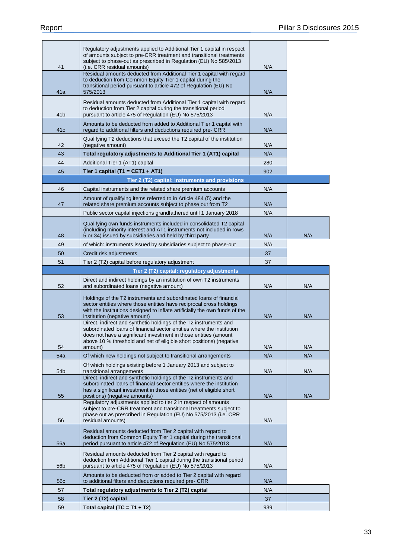|                 | Regulatory adjustments applied to Additional Tier 1 capital in respect<br>of amounts subject to pre-CRR treatment and transitional treatments<br>subject to phase-out as prescribed in Regulation (EU) No 585/2013                                                                               |     |     |
|-----------------|--------------------------------------------------------------------------------------------------------------------------------------------------------------------------------------------------------------------------------------------------------------------------------------------------|-----|-----|
| 41              | (i.e. CRR residual amounts)                                                                                                                                                                                                                                                                      | N/A |     |
| 41a             | Residual amounts deducted from Additional Tier 1 capital with regard<br>to deduction from Common Equity Tier 1 capital during the<br>transitional period pursuant to article 472 of Regulation (EU) No<br>575/2013                                                                               | N/A |     |
|                 | Residual amounts deducted from Additional Tier 1 capital with regard<br>to deduction from Tier 2 capital during the transitional period                                                                                                                                                          |     |     |
| 41 <sub>b</sub> | pursuant to article 475 of Regulation (EU) No 575/2013<br>Amounts to be deducted from added to Additional Tier 1 capital with                                                                                                                                                                    | N/A |     |
| 41c             | regard to additional filters and deductions required pre- CRR                                                                                                                                                                                                                                    | N/A |     |
| 42              | Qualifying T2 deductions that exceed the T2 capital of the institution<br>(negative amount)                                                                                                                                                                                                      | N/A |     |
| 43              | Total regulatory adjustments to Additional Tier 1 (AT1) capital                                                                                                                                                                                                                                  | N/A |     |
| 44              | Additional Tier 1 (AT1) capital                                                                                                                                                                                                                                                                  | 280 |     |
| 45              | Tier 1 capital (T1 = CET1 + AT1)                                                                                                                                                                                                                                                                 | 902 |     |
|                 | Tier 2 (T2) capital: instruments and provisions                                                                                                                                                                                                                                                  |     |     |
| 46              | Capital instruments and the related share premium accounts                                                                                                                                                                                                                                       | N/A |     |
| 47              | Amount of qualifying items referred to in Article 484 (5) and the<br>related share premium accounts subject to phase out from T2                                                                                                                                                                 | N/A |     |
|                 | Public sector capital injections grandfathered until 1 January 2018                                                                                                                                                                                                                              | N/A |     |
| 48              | Qualifying own funds instruments included in consolidated T2 capital<br>(including minority interest and AT1 instruments not included in rows<br>5 or 34) issued by subsidiaries and held by third party                                                                                         | N/A | N/A |
| 49              | of which: instruments issued by subsidiaries subject to phase-out                                                                                                                                                                                                                                | N/A |     |
| 50              | Credit risk adjustments                                                                                                                                                                                                                                                                          | 37  |     |
| 51              | Tier 2 (T2) capital before regulatory adjustment                                                                                                                                                                                                                                                 | 37  |     |
|                 | Tier 2 (T2) capital: regulatory adjustments                                                                                                                                                                                                                                                      |     |     |
| 52              | Direct and indirect holdings by an institution of own T2 instruments<br>and subordinated loans (negative amount)                                                                                                                                                                                 | N/A | N/A |
| 53              | Holdings of the T2 instruments and subordinated loans of financial<br>sector entities where those entities have reciprocal cross holdings<br>with the institutions designed to inflate artificially the own funds of the<br>institution (negative amount)                                        | N/A | N/A |
| 54              | Direct, indirect and synthetic holdings of the T2 instruments and<br>subordinated loans of financial sector entities where the institution<br>does not have a significant investment in those entities (amount<br>above 10 % threshold and net of eligible short positions) (negative<br>amount) | N/A | N/A |
| 54a             | Of which new holdings not subject to transitional arrangements                                                                                                                                                                                                                                   | N/A | N/A |
| 54b             | Of which holdings existing before 1 January 2013 and subject to<br>transitional arrangements                                                                                                                                                                                                     | N/A | N/A |
| 55              | Direct, indirect and synthetic holdings of the T2 instruments and<br>subordinated loans of financial sector entities where the institution<br>has a significant investment in those entities (net of eligible short<br>positions) (negative amounts)                                             | N/A | N/A |
| 56              | Regulatory adjustments applied to tier 2 in respect of amounts<br>subject to pre-CRR treatment and transitional treatments subject to<br>phase out as prescribed in Regulation (EU) No 575/2013 (i.e. CRR<br>residual amounts)                                                                   | N/A |     |
| 56a             | Residual amounts deducted from Tier 2 capital with regard to<br>deduction from Common Equity Tier 1 capital during the transitional<br>period pursuant to article 472 of Regulation (EU) No 575/2013                                                                                             | N/A |     |
| 56 <sub>b</sub> | Residual amounts deducted from Tier 2 capital with regard to                                                                                                                                                                                                                                     |     |     |
|                 | deduction from Additional Tier 1 capital during the transitional period<br>pursuant to article 475 of Regulation (EU) No 575/2013                                                                                                                                                                | N/A |     |
| 56 <sub>c</sub> | Amounts to be deducted from or added to Tier 2 capital with regard<br>to additional filters and deductions required pre- CRR                                                                                                                                                                     | N/A |     |
| 57              | Total regulatory adjustments to Tier 2 (T2) capital                                                                                                                                                                                                                                              | N/A |     |
| 58              | Tier 2 (T2) capital                                                                                                                                                                                                                                                                              | 37  |     |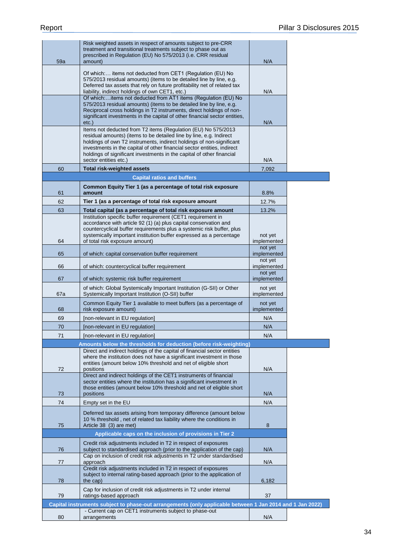| Risk weighted assets in respect of amounts subject to pre-CRR<br>treatment and transitional treatments subject to phase out as                                                                                                                                                                                                                                                            |                        |
|-------------------------------------------------------------------------------------------------------------------------------------------------------------------------------------------------------------------------------------------------------------------------------------------------------------------------------------------------------------------------------------------|------------------------|
| prescribed in Regulation (EU) No 575/2013 (i.e. CRR residual                                                                                                                                                                                                                                                                                                                              |                        |
| 59a<br>amount)                                                                                                                                                                                                                                                                                                                                                                            | N/A                    |
| Of which: items not deducted from CET1 (Regulation (EU) No<br>575/2013 residual amounts) (items to be detailed line by line, e.g.<br>Deferred tax assets that rely on future profitability net of related tax                                                                                                                                                                             |                        |
| liability, indirect holdings of own CET1, etc.)                                                                                                                                                                                                                                                                                                                                           | N/A                    |
| Of which:items not deducted from AT1 items (Regulation (EU) No<br>575/2013 residual amounts) (items to be detailed line by line, e.g.<br>Reciprocal cross holdings in T2 instruments, direct holdings of non-<br>significant investments in the capital of other financial sector entities,<br>$etc.$ )                                                                                   | N/A                    |
| Items not deducted from T2 items (Regulation (EU) No 575/2013<br>residual amounts) (items to be detailed line by line, e.g. Indirect<br>holdings of own T2 instruments, indirect holdings of non-significant<br>investments in the capital of other financial sector entities, indirect<br>holdings of significant investments in the capital of other financial<br>sector entities etc.) | N/A                    |
| 60<br><b>Total risk-weighted assets</b>                                                                                                                                                                                                                                                                                                                                                   | 7,092                  |
| <b>Capital ratios and buffers</b>                                                                                                                                                                                                                                                                                                                                                         |                        |
| Common Equity Tier 1 (as a percentage of total risk exposure                                                                                                                                                                                                                                                                                                                              |                        |
| 61<br>amount                                                                                                                                                                                                                                                                                                                                                                              | 8.8%                   |
| 62<br>Tier 1 (as a percentage of total risk exposure amount                                                                                                                                                                                                                                                                                                                               | 12.7%                  |
| 63<br>Total capital (as a percentage of total risk exposure amount<br>Institution specific buffer requirement (CET1 requirement in<br>accordance with article 92 (1) (a) plus capital conservation and                                                                                                                                                                                    | 13.2%                  |
| countercyclical buffer requirements plus a systemic risk buffer, plus<br>systemically important institution buffer expressed as a percentage<br>of total risk exposure amount)<br>64                                                                                                                                                                                                      | not yet<br>implemented |
| 65<br>of which: capital conservation buffer requirement                                                                                                                                                                                                                                                                                                                                   | not yet<br>implemented |
| 66                                                                                                                                                                                                                                                                                                                                                                                        | not yet<br>implemented |
| of which: countercyclical buffer requirement                                                                                                                                                                                                                                                                                                                                              | not yet<br>implemented |
| 67<br>of which: systemic risk buffer requirement<br>of which: Global Systemically Important Institution (G-SII) or Other<br>Systemically Important Institution (O-SII) buffer<br>67a                                                                                                                                                                                                      | not yet<br>implemented |
| Common Equity Tier 1 available to meet buffers (as a percentage of<br>risk exposure amount)<br>68                                                                                                                                                                                                                                                                                         | not yet<br>implemented |
| 69<br>[non-relevant in EU regulation]                                                                                                                                                                                                                                                                                                                                                     | N/A                    |
| 70<br>[non-relevant in EU regulation]                                                                                                                                                                                                                                                                                                                                                     | N/A                    |
| 71<br>[non-relevant in EU regulation]                                                                                                                                                                                                                                                                                                                                                     | N/A                    |
| Amounts below the thresholds for deduction (before risk-weighting)                                                                                                                                                                                                                                                                                                                        |                        |
| Direct and indirect holdings of the capital of financial sector entities<br>where the institution does not have a significant investment in those<br>entities (amount below 10% threshold and net of eligible short<br>72<br>positions                                                                                                                                                    | N/A                    |
| Direct and indirect holdings of the CET1 instruments of financial<br>sector entities where the institution has a significant investment in<br>those entities (amount below 10% threshold and net of eligible short<br>positions<br>73                                                                                                                                                     | N/A                    |
| 74<br>Empty set in the EU                                                                                                                                                                                                                                                                                                                                                                 | N/A                    |
| Deferred tax assets arising from temporary difference (amount below<br>10 % threshold, net of related tax liability where the conditions in<br>75                                                                                                                                                                                                                                         |                        |
| Article 38 (3) are met)                                                                                                                                                                                                                                                                                                                                                                   | 8                      |
| Applicable caps on the inclusion of provisions in Tier 2                                                                                                                                                                                                                                                                                                                                  |                        |
| Credit risk adjustments included in T2 in respect of exposures<br>subject to standardised approach (prior to the application of the cap)<br>76<br>Cap on inclusion of credit risk adjustments in T2 under standardised                                                                                                                                                                    | N/A                    |
| 77<br>approach                                                                                                                                                                                                                                                                                                                                                                            | N/A                    |
| Credit risk adjustments included in T2 in respect of exposures<br>subject to internal rating-based approach (prior to the application of<br>the cap)<br>78                                                                                                                                                                                                                                | 6,182                  |
| Cap for inclusion of credit risk adjustments in T2 under internal<br>79<br>ratings-based approach                                                                                                                                                                                                                                                                                         | 37                     |
| Capital instruments subject to phase-out arrangements (only applicable between 1 Jan 2014 and 1 Jan 2022)                                                                                                                                                                                                                                                                                 |                        |
| - Current cap on CET1 instruments subject to phase-out<br>80<br>arrangements                                                                                                                                                                                                                                                                                                              | N/A                    |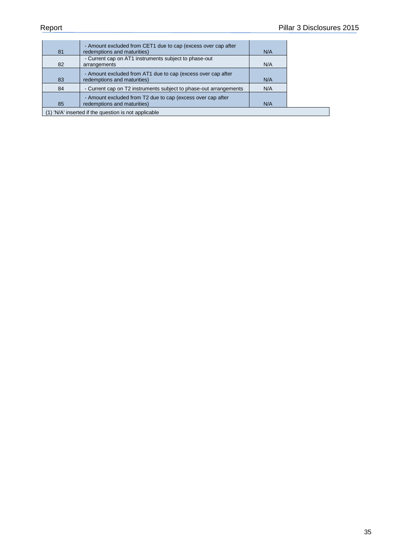| 81                                                   | - Amount excluded from CET1 due to cap (excess over cap after<br>redemptions and maturities) | N/A |
|------------------------------------------------------|----------------------------------------------------------------------------------------------|-----|
| 82                                                   | - Current cap on AT1 instruments subject to phase-out<br>arrangements                        | N/A |
| 83                                                   | - Amount excluded from AT1 due to cap (excess over cap after<br>redemptions and maturities)  | N/A |
| 84                                                   | - Current cap on T2 instruments subject to phase-out arrangements                            | N/A |
| 85                                                   | - Amount excluded from T2 due to cap (excess over cap after<br>redemptions and maturities)   | N/A |
| (1) 'N/A' inserted if the question is not applicable |                                                                                              |     |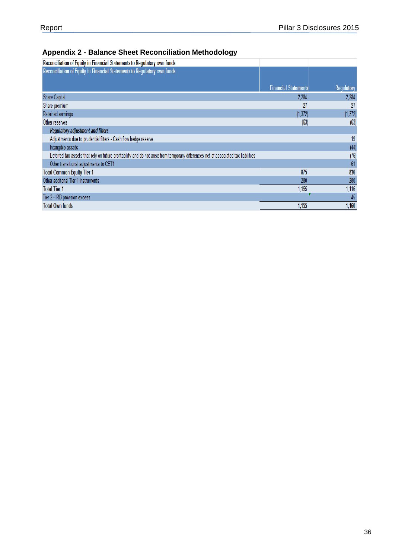# <span id="page-35-0"></span>**Appendix 2 - Balance Sheet Reconciliation Methodology**

| Reconciliation of Equity in Financial Statements to Regulatory own funds                                                            |                             |            |
|-------------------------------------------------------------------------------------------------------------------------------------|-----------------------------|------------|
| Reconciliation of Equity in Financial Statements to Regulatory own funds                                                            |                             |            |
|                                                                                                                                     |                             |            |
|                                                                                                                                     | <b>Financial Statements</b> | Regulatory |
| Share Capital                                                                                                                       | 2,284                       | 2,284      |
| Share premium                                                                                                                       | 27                          | 27         |
| Retained earnings                                                                                                                   | (1,372)                     | (1, 372)   |
| Other reserves                                                                                                                      | (63)                        | (63)       |
| <b>Regulatory adjustment and filters</b>                                                                                            |                             |            |
| Adjustments due to prudential filters - Cash flow hedge reserve                                                                     |                             | 19         |
| Intangible assets                                                                                                                   |                             | (44)       |
| Deferred tax assets that rely on future profitability and do not arise from temporary differences net of associated tax liabilities |                             | (76)       |
| Other transitional adjustments to CET1                                                                                              |                             | 61         |
| <b>Total Common Equity Tier 1</b>                                                                                                   | 875                         | 836        |
| Other additonal Tier 1 instruments                                                                                                  | 280                         | 280        |
| <b>Total Tier 1</b>                                                                                                                 | 1,155                       | 1,116      |
| Tier 2 - IRB provision excess                                                                                                       |                             | 45         |
| <b>Total Own funds</b>                                                                                                              | 1,155                       | 1,160      |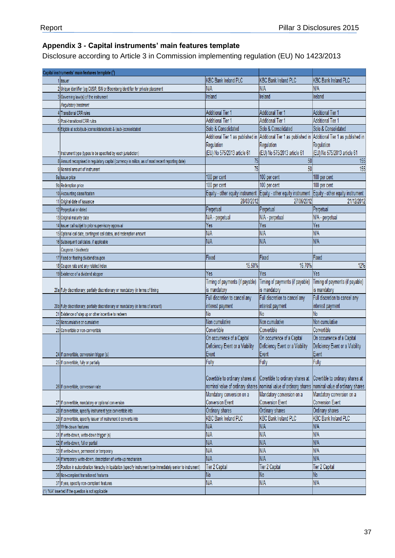## <span id="page-36-0"></span>**Appendix 3 - Capital instruments' main features template**

Disclosure according to Article 3 in Commission implementing regulation (EU) No 1423/2013

| Capital instruments' main features template (1)                                                                 |                                                      |                                                      |                                                      |
|-----------------------------------------------------------------------------------------------------------------|------------------------------------------------------|------------------------------------------------------|------------------------------------------------------|
| Ilssuer                                                                                                         | <b>KBC Bank Ireland PLC</b>                          | <b>KBC Bank Ireland PLC</b>                          | <b>KBC Bank Ireland PLC</b>                          |
| 2 Unique identifier (eg CUSIP, ISIN or Bloomberg identifier for private placement                               | <b>N/A</b>                                           | N/A                                                  | N/A                                                  |
| 3 Governing law(s) of the instrument                                                                            | Ireland                                              | Ireland                                              | Ireland                                              |
| Regulatory treatment                                                                                            |                                                      |                                                      |                                                      |
| <b>Transitional CRR rules</b>                                                                                   | <b>Additional Tier 1</b>                             | <b>Additional Tier 1</b>                             | <b>Additional Tier 1</b>                             |
| 5 Post-transitional CRR rules                                                                                   | <b>Additional Tier 1</b>                             | <b>Additional Tier 1</b>                             | <b>Additional Tier 1</b>                             |
| 6 Eligible at solo/(sub-)consolidated/solo & (sub-)consolidated                                                 | Solo & Consolidated                                  | Solo & Consolidated                                  | Solo & Consolidated                                  |
|                                                                                                                 | Additional Tier 1 as published in                    | Additional Tier 1 as published in                    | Additional Tier 1 as published in                    |
|                                                                                                                 | Regulation                                           | Regulation                                           | Regulation                                           |
| Instrument type (types to be specified by each jurisdiction)                                                    | (EU) No 575/2013 article 61                          | (EU) No 575/2013 article 61                          | (EU) No 575/2013 article 61                          |
| 8 Amount recognised in regulatory capital (currency in million, as of most recent reporting date)               | 75                                                   | 50                                                   | 155                                                  |
| 9 Nominal amount of instrument                                                                                  | 75                                                   | 50                                                   | 155                                                  |
| 9a Issue price                                                                                                  | 100 per cent                                         | 100 per cent                                         | 100 per cent                                         |
| 9b Redemption price                                                                                             | 100 per cent                                         | 100 per cent                                         | 100 per cent                                         |
| 10 Accounting classification                                                                                    | Equity - other equity instrument                     | Equity - other equity instrument                     | Equity - other equity instrument                     |
| 11 Original date of issuance                                                                                    | 28/03/2012                                           | 27/06/2012                                           | 21/12/2012                                           |
| 12 Perpeptual or dated                                                                                          | Perpetual                                            | Perpetual                                            | Perpetual                                            |
| 13 Original maturity date                                                                                       | N/A - perpetual                                      | N/A - perpetual                                      | N/A - perpetual                                      |
| 14 Issuer call subjet to prior supervisory approval                                                             | Yes                                                  | Yes                                                  | Yes                                                  |
| 15 Optional call date, contingent call dates, and redemption amount                                             | N/A                                                  | N/A                                                  | N/A                                                  |
| 16 Subsequent call dates, if applicable                                                                         | N/A                                                  | N/A                                                  | N/A                                                  |
| Coupons / dividends                                                                                             |                                                      |                                                      |                                                      |
| 17 Fixed or floating dividend/coupon                                                                            | Fixed                                                | Fixed                                                | Fixed                                                |
| 18 Coupon rate and any related index                                                                            | 15.50%                                               | 16.70%                                               | 12%                                                  |
| 19 Existence of a dividend stopper                                                                              | Yes                                                  | Yes                                                  | Yes                                                  |
|                                                                                                                 | Timing of payments (if payable)                      | Timing of payments (if payable)                      | Timing of payments (if payable)                      |
| 20a Fully discretionary, partially discretionary or mandatory (in terms of timing                               | is mandatory                                         | is mandatory                                         | is mandatory                                         |
|                                                                                                                 | Full discretion to cancel any                        | Full discretion to cancel any                        | Full discretion to cancel any                        |
| 20b Fully discretionary, partially discretionary or mandatory (in terms of amount)                              | interest payment                                     | interest payment                                     | interest payment                                     |
| 21 Existence of step up or other incentive to redeem                                                            | No                                                   | No                                                   | No                                                   |
| 22 Noncumulative or cumulative                                                                                  | Non cumulative                                       | Non cumulative                                       | Non cumulative                                       |
| 23 Convertible or non-convertible                                                                               | Convertible                                          | Convertible                                          | Convertible                                          |
|                                                                                                                 | On occurrence of a Capital                           | On occurrence of a Capital                           | On occurrence of a Capital                           |
|                                                                                                                 | Deficiency Event or a Viability                      | Deficiency Event or a Viability                      | Deficiency Event or a Viability                      |
| 24 If convertible, conversion trigger (s)                                                                       | Event                                                | Event                                                | Event                                                |
| 25 If convertible, fully or partially                                                                           | Fully                                                | Fully                                                | Fully                                                |
|                                                                                                                 |                                                      |                                                      |                                                      |
|                                                                                                                 | Covertible to ordinary shares at                     | Covertible to ordinary shares at                     | Covertible to ordinary shares at                     |
| 26 If convertible, conversion rate                                                                              | nominal value of ordinary shares                     | nominal value of ordinary shares                     | nominal value of ordinary shares                     |
|                                                                                                                 | Mandatory conversion on a<br><b>Conversion Event</b> | Mandatory conversion on a<br><b>Conversion Event</b> | Mandatory conversion on a<br><b>Conversion Event</b> |
| 27 If convertible, mandatory or optional conversion                                                             |                                                      |                                                      |                                                      |
| 28 If convertible, specify instrument type convertible into                                                     | Ordinary shares<br><b>KBC Bank Ireland PLC</b>       | Ordinary shares                                      | Ordinary shares<br><b>KBC Bank Ireland PLC</b>       |
| 29 If convertible, specify issuer of instrument it converts into                                                |                                                      | <b>KBC Bank Ireland PLC</b>                          |                                                      |
| 30 Write-down features                                                                                          | N/A                                                  | N/A                                                  | N/A                                                  |
| 31 If write-down, write-down trigger (s)                                                                        | N/A                                                  | N/A                                                  | N/A                                                  |
| 32 If write-down, full or partial                                                                               | N/A                                                  | N/A                                                  | N/A                                                  |
| 33 If write-down, permanent or temporary                                                                        | N/A                                                  | N/A                                                  | N/A                                                  |
| 34 If temporary write-down, description of write-up mechanism                                                   | N/A                                                  | N/A                                                  | N/A                                                  |
| 35 Position in subordination hierachy in liquidation (specify instrument type immediately senior to instrument) | <b>Tier 2 Capital</b>                                | Tier 2 Capital                                       | Tier 2 Capital                                       |
| 36 Non-compliant transitioned features                                                                          | No<br>N/A                                            | No<br>N/A                                            | No<br>N/A                                            |
| 37 If yes, specifiy non-compliant features<br>(1) 'N/A' inserted if the question is not applicable              |                                                      |                                                      |                                                      |
|                                                                                                                 |                                                      |                                                      |                                                      |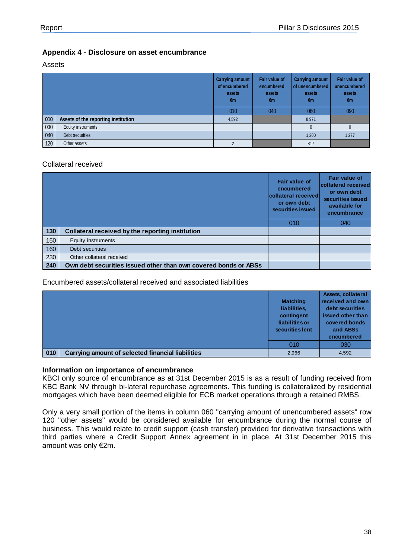#### <span id="page-37-0"></span>**Appendix 4 - Disclosure on asset encumbrance**

#### Assets

|     |                                     | <b>Carrying amount</b><br>of encumbered<br>assets<br>€m | Fair value of<br>encumbered<br>assets<br>€m | <b>Carrying amount</b><br>of unencumbered<br>assets<br>€m | Fair value of<br>unencumbered<br>assets<br>€m |
|-----|-------------------------------------|---------------------------------------------------------|---------------------------------------------|-----------------------------------------------------------|-----------------------------------------------|
|     |                                     | 010                                                     | 040                                         | 060                                                       | 090                                           |
| 010 | Assets of the reporting institution | 4,592                                                   |                                             | 8,971                                                     |                                               |
| 030 | Equity instruments                  |                                                         |                                             |                                                           |                                               |
| 040 | Debt securities                     |                                                         |                                             | 1,200                                                     | 1,277                                         |
| 120 | Other assets                        | 2                                                       |                                             | 817                                                       |                                               |

#### Collateral received

|     |                                                                 | Fair value of<br>encumbered<br>collateral received<br>or own debt<br>securities issued | <b>Fair value of</b><br>collateral received<br>or own debt<br>securities issued<br>available for<br>encumbrance |
|-----|-----------------------------------------------------------------|----------------------------------------------------------------------------------------|-----------------------------------------------------------------------------------------------------------------|
|     |                                                                 | 010                                                                                    | 040                                                                                                             |
| 130 | Collateral received by the reporting institution                |                                                                                        |                                                                                                                 |
| 150 | Equity instruments                                              |                                                                                        |                                                                                                                 |
| 160 | Debt securities                                                 |                                                                                        |                                                                                                                 |
| 230 | Other collateral received                                       |                                                                                        |                                                                                                                 |
| 240 | Own debt securities issued other than own covered bonds or ABSs |                                                                                        |                                                                                                                 |

#### Encumbered assets/collateral received and associated liabilities

|     |                                                          | <b>Matching</b><br>liabilities,<br>contingent<br>liabilities or<br>securities lent | Assets, collateral<br>received and own<br>debt securities<br>issued other than<br>covered bonds<br>and ABSs<br>encumbered |
|-----|----------------------------------------------------------|------------------------------------------------------------------------------------|---------------------------------------------------------------------------------------------------------------------------|
|     |                                                          | 010                                                                                | 030                                                                                                                       |
| 010 | <b>Carrying amount of selected financial liabilities</b> | 2,966                                                                              | 4,592                                                                                                                     |

#### **Information on importance of encumbrance**

KBCI only source of encumbrance as at 31st December 2015 is as a result of funding received from KBC Bank NV through bi-lateral repurchase agreements. This funding is collateralized by residential mortgages which have been deemed eligible for ECB market operations through a retained RMBS.

Only a very small portion of the items in column 060 "carrying amount of unencumbered assets" row 120 "other assets" would be considered available for encumbrance during the normal course of business. This would relate to credit support (cash transfer) provided for derivative transactions with third parties where a Credit Support Annex agreement in in place. At 31st December 2015 this amount was only €2m.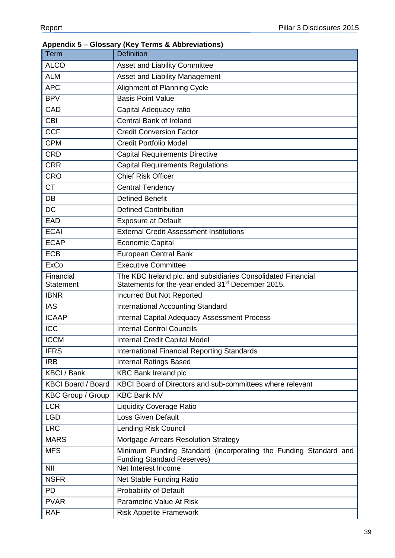# <span id="page-38-0"></span>**Appendix 5 – Glossary (Key Terms & Abbreviations)** Term Definition ALCO **Asset and Liability Committee** ALM **Asset and Liability Management** APC | Alignment of Planning Cycle BPV Basis Point Value CAD Capital Adequacy ratio CBI Central Bank of Ireland CCF Credit Conversion Factor CPM Credit Portfolio Model CRD Capital Requirements Directive CRR Capital Requirements Regulations CRO Chief Risk Officer CT Central Tendency DB Defined Benefit DC Defined Contribution EAD Exposure at Default ECAI External Credit Assessment Institutions ECAP Economic Capital ECB European Central Bank ExCo Executive Committee **Financial Statement** The KBC Ireland plc. and subsidiaries Consolidated Financial Statements for the year ended 31<sup>st</sup> December 2015. IBNR | Incurred But Not Reported IAS International Accounting Standard ICAAP Internal Capital Adequacy Assessment Process **ICC** Internal Control Councils **ICCM** Internal Credit Capital Model **IFRS** International Financial Reporting Standards **IRB** Internal Ratings Based KBCI / Bank KBC Bank Ireland plc KBCI Board / Board KBCI Board of Directors and sub-committees where relevant KBC Group / Group | KBC Bank NV LCR Liquidity Coverage Ratio LGD Loss Given Default LRC **Lending Risk Council** MARS Mortgage Arrears Resolution Strategy MFS Minimum Funding Standard (incorporating the Funding Standard and Funding Standard Reserves) NII Net Interest Income NSFR Net Stable Funding Ratio PD **Probability of Default** PVAR Parametric Value At Risk RAF Risk Appetite Framework